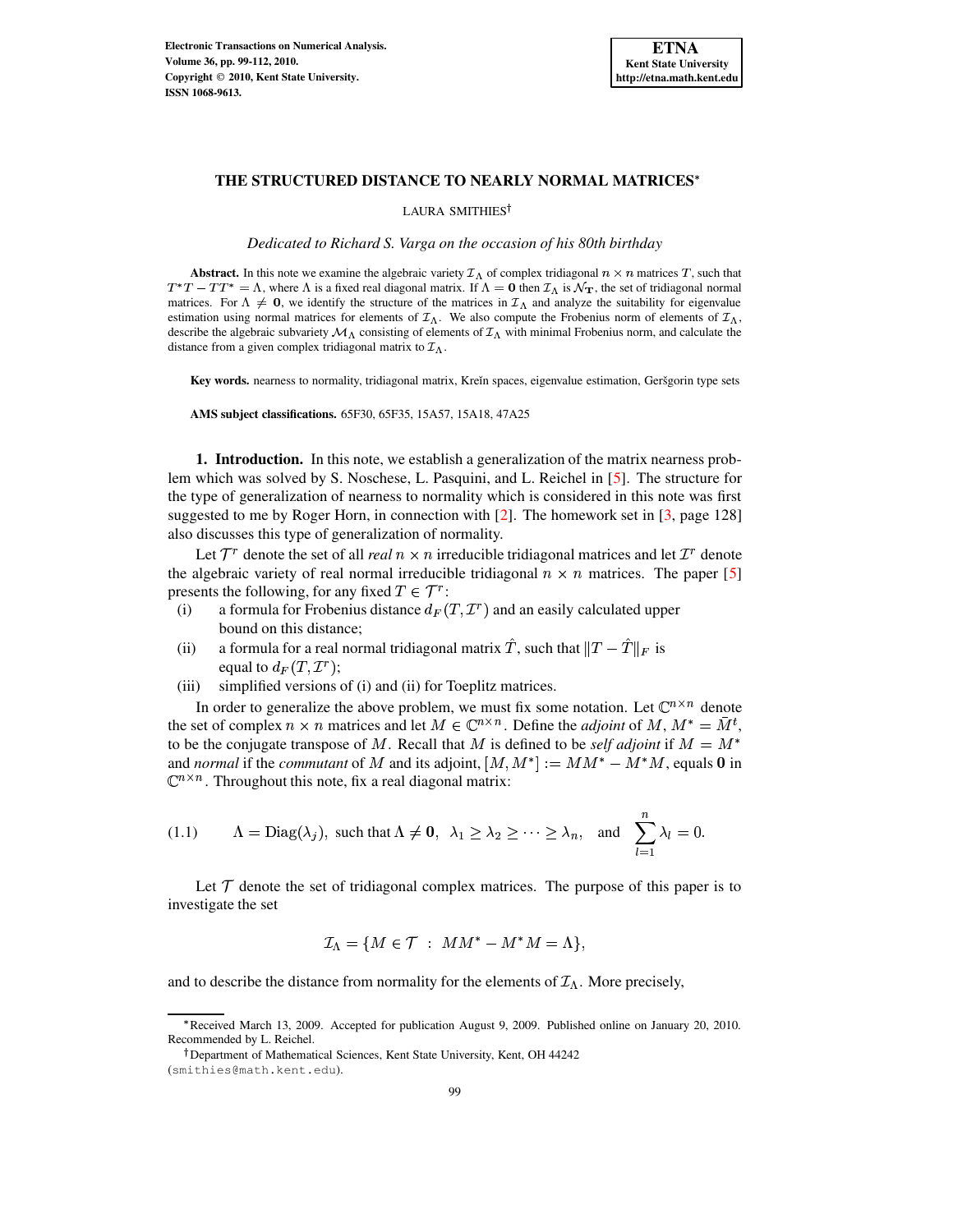

## **THE STRUCTURED DISTANCE TO NEARLY NORMAL MATRICES**

LAURA SMITHIES

*Dedicated to Richard S. Varga on the occasion of his 80th birthday*

**Abstract.** In this note we examine the algebraic variety  $\mathcal{I}_\Lambda$  of complex tridiagonal  $n \times n$  matrices T, such that  $T^*T - TT^* = \Lambda$ , where  $\Lambda$  is a fixed real diagonal matrix. If  $\Lambda = 0$  then  $\mathcal{I}_\Lambda$  is  $\mathcal{N}_{\mathbf{T}}$ , the set of tridiagonal normal matrices. For  $\Lambda \neq 0$ , we identify the structure of the matrices in  $\mathcal{I}_{\Lambda}$  and analyze the suitability for eigenvalue estimation using normal matrices for elements of  $\mathcal{I}_{\Lambda}$ . We also compute the Frobenius norm of elements of  $\mathcal{I}_{\Lambda}$ , describe the algebraic subvariety  $\mathcal{M}_{\Lambda}$  consisting of elements of  $\mathcal{I}_{\Lambda}$  with minimal Frobenius norm, and calculate the distance from a given complex tridiagonal matrix to  $\mathcal{I}_{\Lambda}$ .

Key words. nearness to normality, tridiagonal matrix, Kreĭn spaces, eigenvalue estimation, Geršgorin type sets

**AMS subject classifications.** 65F30, 65F35, 15A57, 15A18, 47A25

**1. Introduction.** In this note, we establish a generalization of the matrix nearness problem which was solved by S. Noschese, L. Pasquini, and L. Reichel in [\[5\]](#page-13-0). The structure for the type of generalization of nearness to normality which is considered in this note was first suggested to me by Roger Horn, in connection with [\[2\]](#page-13-1). The homework set in [\[3,](#page-13-2) page 128] also discusses this type of generalization of normality.

Let  $\mathcal{T}^r$  denote the set of all *real*  $n \times n$  irreducible tridiagonal matrices and let  $\mathcal{T}^r$  denote the algebraic variety of real normal irreducible tridiagonal  $n \times n$  matrices. The paper [\[5\]](#page-13-0) presents the following, for any fixed  $T \in \mathcal{T}^r$ :

- (i) a formula for Frobenius distance  $d_F(T, \mathcal{I}^r)$  and an easily calculated upper bound on this distance;
- (ii) a formula for a real normal tridiagonal matrix  $\hat{T}$ , such that  $||T \hat{T}||_F$  is equal to  $d_F(T, \mathcal{I}^r);$
- (iii) simplified versions of (i) and (ii) for Toeplitz matrices.

In order to generalize the above problem, we must fix some notation. Let  $\mathbb{C}^{n \times n}$  denote the set of complex  $n \times n$  matrices and let  $M \in \mathbb{C}^{n \times n}$ . Define the *adjoint* of M,  $M^* = \overline{M}^t$ , to be the conjugate transpose of M. Recall that M is defined to be *self adjoint* if  $M = M^*$ and *normal* if the *commutant* of M and its adjoint,  $[M, M^*] := MM^* - M^*M$ , equals 0 in  $\mathbb{C}^{n \times n}$ . Throughout this note, fix a real diagonal matrix:

(1.1) 
$$
\Lambda = \text{Diag}(\lambda_j)
$$
, such that  $\Lambda \neq \mathbf{0}$ ,  $\lambda_1 \geq \lambda_2 \geq \cdots \geq \lambda_n$ , and  $\sum_{l=1}^n \lambda_l = 0$ .

Let  $\mathcal T$  denote the set of tridiagonal complex matrices. The purpose of this paper is to investigate the set

<span id="page-0-0"></span>
$$
\mathcal{I}_{\Lambda} = \{ M \in \mathcal{T} \; : \; MM^* - M^*M = \Lambda \},
$$

and to describe the distance from normality for the elements of  $\mathcal{I}_{\Lambda}$ . More precisely,

Received March 13, 2009. Accepted for publication August 9, 2009. Published online on January 20, 2010. Recommended by L. Reichel.

Department of Mathematical Sciences, Kent State University, Kent, OH 44242

<sup>(</sup>smithies@math.kent.edu).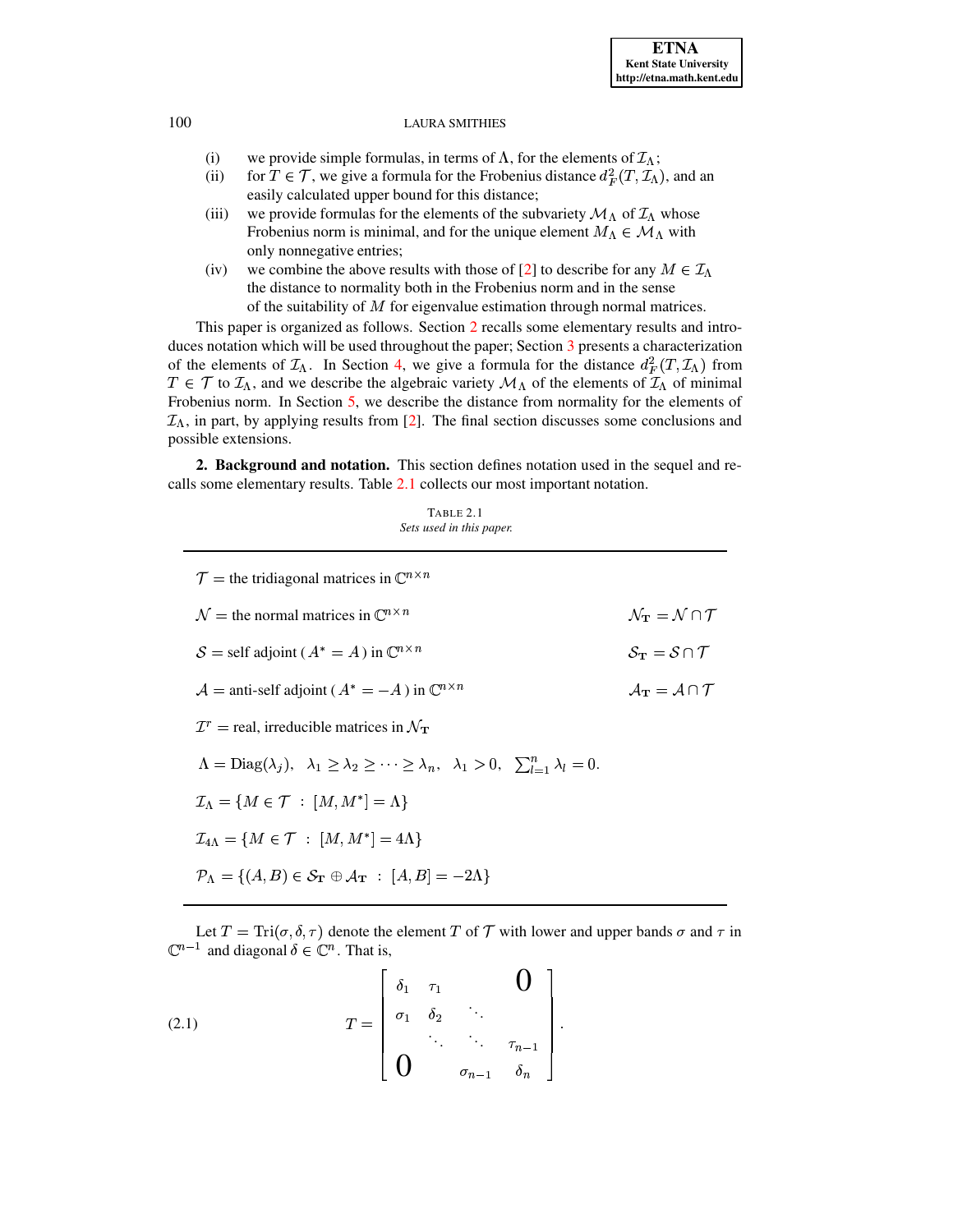- (i) we provide simple formulas, in terms of  $\Lambda$ , for the elements of  $\mathcal{I}_{\Lambda}$ ;
- (ii) for  $T \in \mathcal{T}$ , we give a formula for the Frobenius distance  $d_F^2(T, \mathcal{I}_\Lambda)$ , and an easily calculated upper bound for this distance;
- (iii) we provide formulas for the elements of the subvariety  ${\cal M}_\Lambda$  of  ${\cal I}_\Lambda$  whose Frobenius norm is minimal, and for the unique element  $M_{\Lambda} \in \mathcal{M}_{\Lambda}$  with only nonnegative entries;
- (iv) we combine the above results with those of [\[2\]](#page-13-1) to describe for any  $M \in \mathcal{I}_{\Lambda}$ the distance to normality both in the Frobenius norm and in the sense of the suitability of  $M$  for eigenvalue estimation through normal matrices.

This paper is organized as follows. Section [2](#page-1-0) recalls some elementary results and intro-duces notation which will be used throughout the paper; Section [3](#page-3-0) presents a characterization of the elements of  $\mathcal{I}_\Lambda$ . In Section [4,](#page-6-0) we give a formula for the distance  $d_F^2(T, \mathcal{I}_\Lambda)$  from  $T \in \mathcal{T}$  to  $\mathcal{I}_\Lambda$ , and we describe the algebraic variety  $\mathcal{M}_\Lambda$  of the elements of  $\mathcal{I}_\Lambda$  of minimal Frobenius norm. In Section [5,](#page-10-0) we describe the distance from normality for the elements of  $\mathcal{I}_\Lambda$ , in part, by applying results from [\[2\]](#page-13-1). The final section discusses some conclusions and possible extensions.

<span id="page-1-0"></span>**2. Background and notation.** This section defines notation used in the sequel and recalls some elementary results. Table [2.1](#page-1-1) collects our most important notation.

| TABLE 2.1 |  |                          |  |
|-----------|--|--------------------------|--|
|           |  | Sets used in this paper. |  |

<span id="page-1-1"></span>

| $\mathcal{T}$ = the tridiagonal matrices in $\mathbb{C}^{n \times n}$                                                                                 |                                                           |  |  |
|-------------------------------------------------------------------------------------------------------------------------------------------------------|-----------------------------------------------------------|--|--|
| $\mathcal{N}$ = the normal matrices in $\mathbb{C}^{n \times n}$                                                                                      | $\mathcal{N}_{\mathbf{T}} = \mathcal{N} \cap \mathcal{T}$ |  |  |
| $S =$ self adjoint ( $A^* = A$ ) in $\mathbb{C}^{n \times n}$                                                                                         | $S_{\rm T} = S \cap T$                                    |  |  |
| $\mathcal{A}$ = anti-self adjoint ( $A^* = -A$ ) in $\mathbb{C}^{n \times n}$                                                                         | $\mathcal{A}_{\mathbf{T}} = \mathcal{A} \cap \mathcal{T}$ |  |  |
| $\mathcal{I}^r$ = real, irreducible matrices in $\mathcal{N}_{\mathbf{T}}$                                                                            |                                                           |  |  |
| $\Lambda = \text{Diag}(\lambda_i), \quad \lambda_1 \geq \lambda_2 \geq \cdots \geq \lambda_n, \quad \lambda_1 > 0, \quad \sum_{l=1}^n \lambda_l = 0.$ |                                                           |  |  |
| $\mathcal{I}_{\Lambda} = \{M \in \mathcal{T} :  M, M^*  = \Lambda\}$                                                                                  |                                                           |  |  |
| $\mathcal{I}_{4\Lambda} = \{M \in \mathcal{T} :  M, M^*  = 4\Lambda\}$                                                                                |                                                           |  |  |
| $\mathcal{P}_{\Lambda} = \{ (A, B) \in \mathcal{S}_{\mathbf{T}} \oplus \mathcal{A}_{\mathbf{T}} : [A, B] = -2\Lambda \}$                              |                                                           |  |  |

Let  $T = \text{Tri}(\sigma, \delta, \tau)$  denote the element T of T with lower and upper bands  $\sigma$  and  $\tau$  in  $\mathbb{C}^{n-1}$  and diagonal  $\delta \in \mathbb{C}^n$ . That is,

(2.1) 
$$
T = \begin{bmatrix} \delta_1 & \tau_1 & & \mathbf{0} \\ \sigma_1 & \delta_2 & \ddots & \\ \vdots & \ddots & \ddots & \tau_{n-1} \\ \mathbf{0} & & \sigma_{n-1} & \delta_n \end{bmatrix}.
$$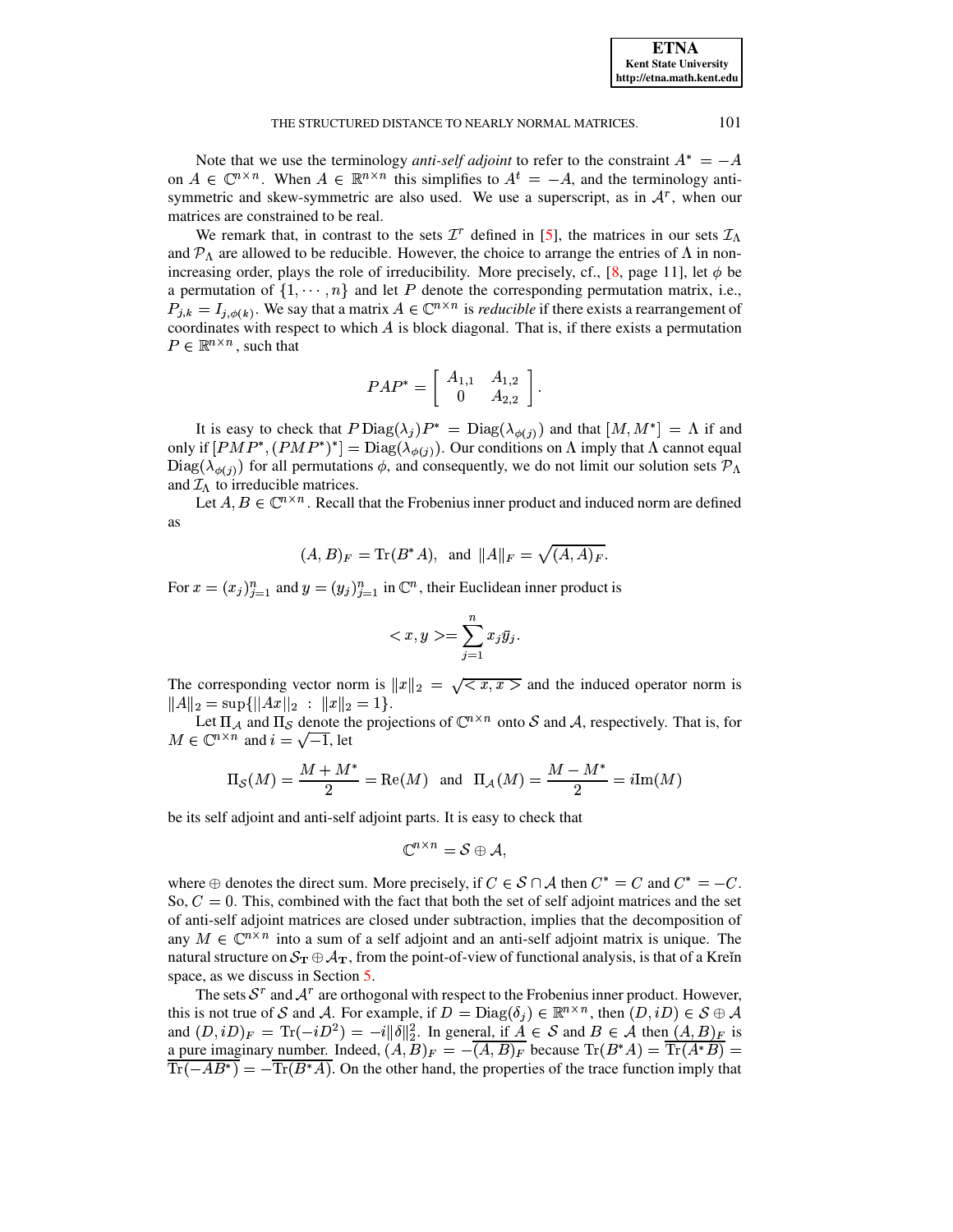**ETNA Kent State University http://etna.math.kent.edu**

## THE STRUCTURED DISTANCE TO NEARLY NORMAL MATRICES. 2012

Note that we use the terminology *anti-self adjoint* to refer to the constraint  $A^* = -A$ on  $A \in \mathbb{C}^{n \times n}$ . When  $A \in \mathbb{R}^{n \times n}$  this simplifies to  $A^t = -A$ , and the terminology antisymmetric and skew-symmetric are also used. We use a superscript, as in  $A<sup>r</sup>$ , when our matrices are constrained to be real.

We remark that, in contrast to the sets  $\mathcal{I}^r$  defined in [\[5\]](#page-13-0), the matrices in our sets  $\mathcal{I}_{\Lambda}$ and  $\mathcal{P}_{\Lambda}$  are allowed to be reducible. However, the choice to arrange the entries of  $\Lambda$  in non-increasing order, plays the role of irreducibility. More precisely, cf., [\[8,](#page-13-3) page 11], let  $\phi$  be a permutation of  $\{1, \dots, n\}$  and let P denote the corresponding permutation matrix, i.e.,  $P_{j,k} = I_{j,\phi(k)}$ . We say that a matrix  $A \in \mathbb{C}^{n \times n}$  is *reducible* if there exists a rearrangement of coordinates with respect to which  $A$  is block diagonal. That is, if there exists a permutation  $P \in \mathbb{R}^{n \times n}$ , such that

$$
PAP^* = \left[ \begin{array}{cc} A_{1,1} & A_{1,2} \\ 0 & A_{2,2} \end{array} \right].
$$

It is easy to check that  $P \text{Diag}(\lambda_j) P^* = \text{Diag}(\lambda_{\phi(j)})$  and that  $[M, M^*] = \Lambda$  if and only if  $[PMP^*, (PMP^*)^*] = \text{Diag}(\lambda_{\phi(i)})$ . Our conditions on  $\Lambda$  imply that  $\Lambda$  cannot equal  $Diag(\lambda_{\phi(i)})$  for all permutations  $\phi$ , and consequently, we do not limit our solution sets  $\mathcal{P}_\Lambda$ and  $\mathcal{I}_{\Lambda}$  to irreducible matrices.

Let  $A, B \in \mathbb{C}^{n \times n}$ . Recall that the Frobenius inner product and induced norm are defined as

$$
(A, B)_F = \text{Tr}(B^*A)
$$
, and  $||A||_F = \sqrt{(A, A)_F}$ .

For  $x = (x_i)_{i=1}^n$  and  $y = (y_i)_{i=1}^n$  in  $\mathbb{C}^n$ , their Euclidean inner product is

$$
\langle x, y \rangle = \sum_{j=1}^n x_j \bar{y}_j.
$$

The corresponding vector norm is  $||x||_2 = \sqrt{\langle x, x \rangle}$  and the induced operator norm is  $||A||_2 = \sup{||Ax||_2 : ||x||_2 = 1}.$ 

Let  $\Pi_A$  and  $\Pi_S$  denote the projections of  $\mathbb{C}^{n \times n}$  onto S and A, respectively. That is, for  $M \in \mathbb{C}^{n \times n}$  and  $i = \sqrt{-1}$ , let

$$
\Pi_{\mathcal{S}}(M) = \frac{M + M^*}{2} = \text{Re}(M)
$$
 and  $\Pi_{\mathcal{A}}(M) = \frac{M - M^*}{2} = i\text{Im}(M)$ 

be its self adjoint and anti-self adjoint parts. It is easy to check that

$$
\mathbb{C}^{n \times n} = \mathcal{S} \oplus \mathcal{A},
$$

where  $\oplus$  denotes the direct sum. More precisely, if  $C \in S \cap A$  then  $C^* = C$  and  $C^* = -C$ . So,  $C = 0$ . This, combined with the fact that both the set of self adjoint matrices and the set of anti-self adjoint matrices are closed under subtraction, implies that the decomposition of any  $M \in \mathbb{C}^{n \times n}$  into a sum of a self adjoint and an anti-self adjoint matrix is unique. The natural structure on  $S_{\bf T} \oplus A_{\bf T}$ , from the point-of-view of functional analysis, is that of a Kreĭn space, as we discuss in Section [5.](#page-10-0)

The sets  $S<sup>r</sup>$  and  $A<sup>r</sup>$  are orthogonal with respect to the Frobenius inner product. However, this is not true of S and A. For example, if  $D = \text{Diag}(\delta_j) \in \mathbb{R}^{n \times n}$ , then  $(D, iD) \in S \oplus A$ and  $(D, iD)_F = \text{Tr}(-iD^2) = -i||\delta||_2^2$ . In general, if  $A \in \mathcal{S}$  and  $B \in \mathcal{A}$  then  $(A, B)_F$  is a pure imaginary number. Indeed,  $(A, B)_F = -(A, B)_F$  because  $\text{Tr}(B^*A) = \text{Tr}(A^*B) =$  $Tr(-AB^*) = Tr(B^*A)$ . On the other hand, the properties of the trace function imply that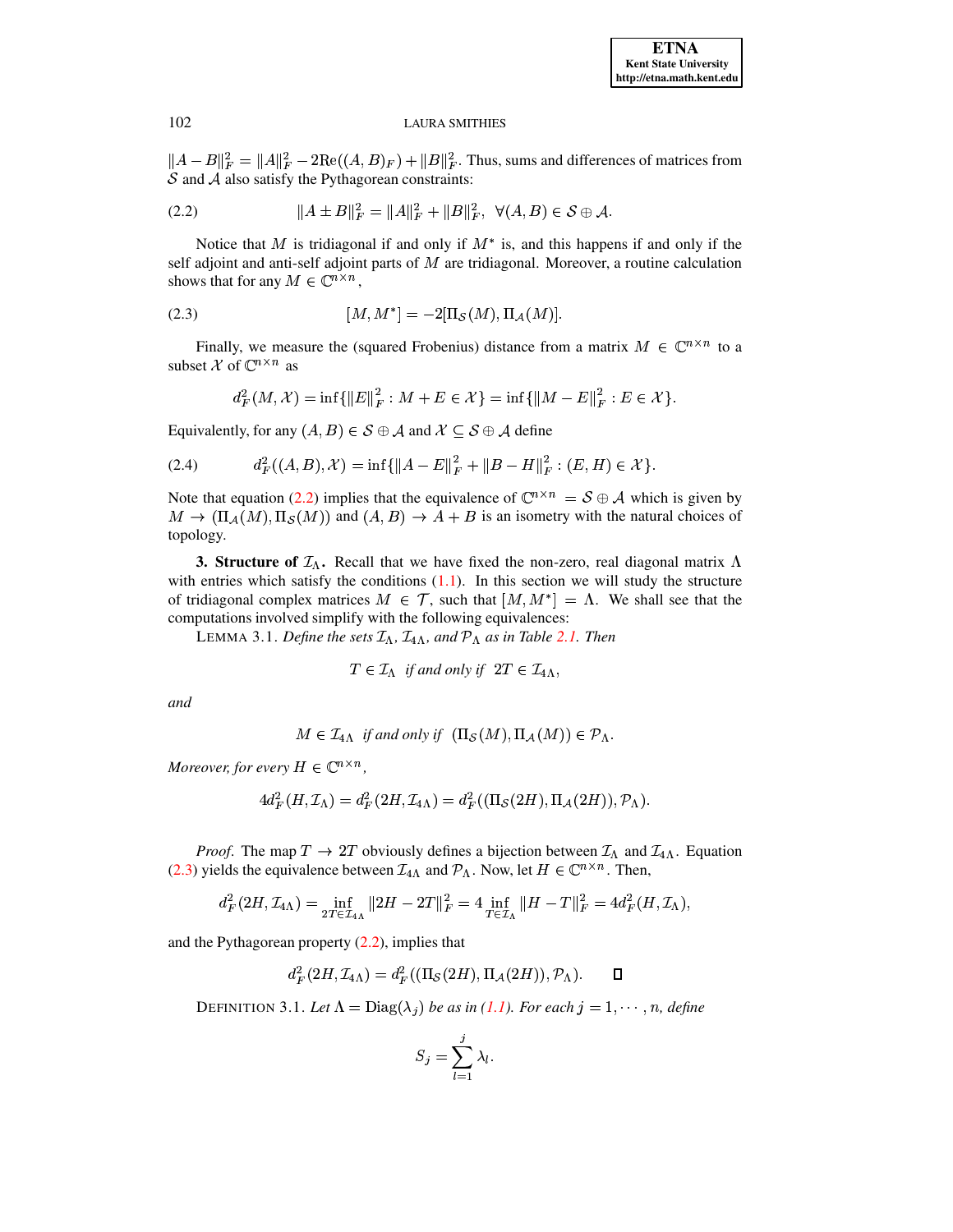<span id="page-3-1"></span> $||A-B||_F^2 = ||A||_F^2 - 2\text{Re}((A,B)_F) + ||B||_F^2$ . Thus, sums and differences of matrices from  $S$  and  $A$  also satisfy the Pythagorean constraints:

$$
(2.2) \t\t\t ||A \pm B||_F^2 = ||A||_F^2 + ||B||_F^2, \ \forall (A, B) \in S \oplus A.
$$

Notice that M is tridiagonal if and only if  $M^*$  is, and this happens if and only if the self adjoint and anti-self adjoint parts of  $M$  are tridiagonal. Moreover, a routine calculation shows that for any  $M \in \mathbb{C}^{n \times n}$ ,

<span id="page-3-2"></span>(2.3) 
$$
[M, M^*] = -2[\Pi_{\mathcal{S}}(M), \Pi_{\mathcal{A}}(M)].
$$

Finally, we measure the (squared Frobenius) distance from a matrix  $M \in \mathbb{C}^{n \times n}$  to a subset  $\mathcal X$  of  $\mathbb C^{n \times n}$  as

$$
d_F^2(M, \mathcal{X}) = \inf \{ ||E||_F^2 : M + E \in \mathcal{X} \} = \inf \{ ||M - E||_F^2 : E \in \mathcal{X} \}.
$$

Equivalently, for any  $(A, B) \in S \oplus A$  and  $X \subseteq S \oplus A$  define

$$
(2.4) \t d_F^2((A, B), \mathcal{X}) = \inf \{ \|A - E\|_F^2 + \|B - H\|_F^2 : (E, H) \in \mathcal{X} \}
$$

Note that equation (2.2) implies that the equivalence of  $\mathbb{C}^{n \times n} = S \oplus A$  which is given by  $M \to (\Pi_A(M), \Pi_S(M))$  and  $(A, B) \to A + B$  is an isometry with the natural choices of topology.

<span id="page-3-3"></span><span id="page-3-0"></span>**3. Structure of**  $\mathcal{I}_\Lambda$ **.** Recall that we have fixed the non-zero, real diagonal matrix  $\Lambda$ with entries which satisfy the conditions  $(1.1)$ . In this section we will study the structure of tridiagonal complex matrices  $M \in \mathcal{T}$ , such that  $[M, M^*] = \Lambda$ . We shall see that the computations involved simplify with the following equivalences:

LEMMA 3.1. Define the sets  $\mathcal{I}_{\Lambda}$ ,  $\mathcal{I}_{4\Lambda}$ , and  $\mathcal{P}_{\Lambda}$  as in Table 2.1. Then

$$
T \in \mathcal{I}_{\Lambda} \text{ if and only if } 2T \in \mathcal{I}_{4\Lambda},
$$

and

$$
M \in \mathcal{I}_{4\Lambda} \text{ if and only if } (\Pi_{\mathcal{S}}(M), \Pi_{\mathcal{A}}(M)) \in \mathcal{P}_{\Lambda}.
$$

Moreover, for every  $H \in \mathbb{C}^{n \times n}$ ,

$$
4d_F^2(H,\mathcal{I}_\Lambda)=d_F^2(2H,\mathcal{I}_{4\Lambda})=d_F^2((\Pi_{\mathcal{S}}(2H),\Pi_{\mathcal{A}}(2H)),\mathcal{P}_\Lambda)
$$

*Proof.* The map  $T \to 2T$  obviously defines a bijection between  $\mathcal{I}_{\Lambda}$  and  $\mathcal{I}_{4\Lambda}$ . Equation (2.3) yields the equivalence between  $\mathcal{I}_{4\Lambda}$  and  $\mathcal{P}_{\Lambda}$ . Now, let  $H \in \mathbb{C}^{n \times n}$ . Then,

$$
d_F^2(2H, \mathcal{I}_{4\Lambda}) = \inf_{2T \in \mathcal{I}_{4\Lambda}} \|2H - 2T\|_F^2 = 4 \inf_{T \in \mathcal{I}_{\Lambda}} \|H - T\|_F^2 = 4d_F^2(H, \mathcal{I}_{\Lambda}),
$$

and the Pythagorean property  $(2.2)$ , implies that

$$
d_F^2(2H,\mathcal{I}_{4\Lambda})=d_F^2((\Pi_{\mathcal{S}}(2H),\Pi_{\mathcal{A}}(2H)),\mathcal{P}_{\Lambda}).\qquad \Box
$$

DEFINITION 3.1. Let  $\Lambda = \text{Diag}(\lambda_j)$  be as in (1.1). For each  $j = 1, \dots, n$ , define

$$
S_j = \sum_{l=1}^j \lambda_l
$$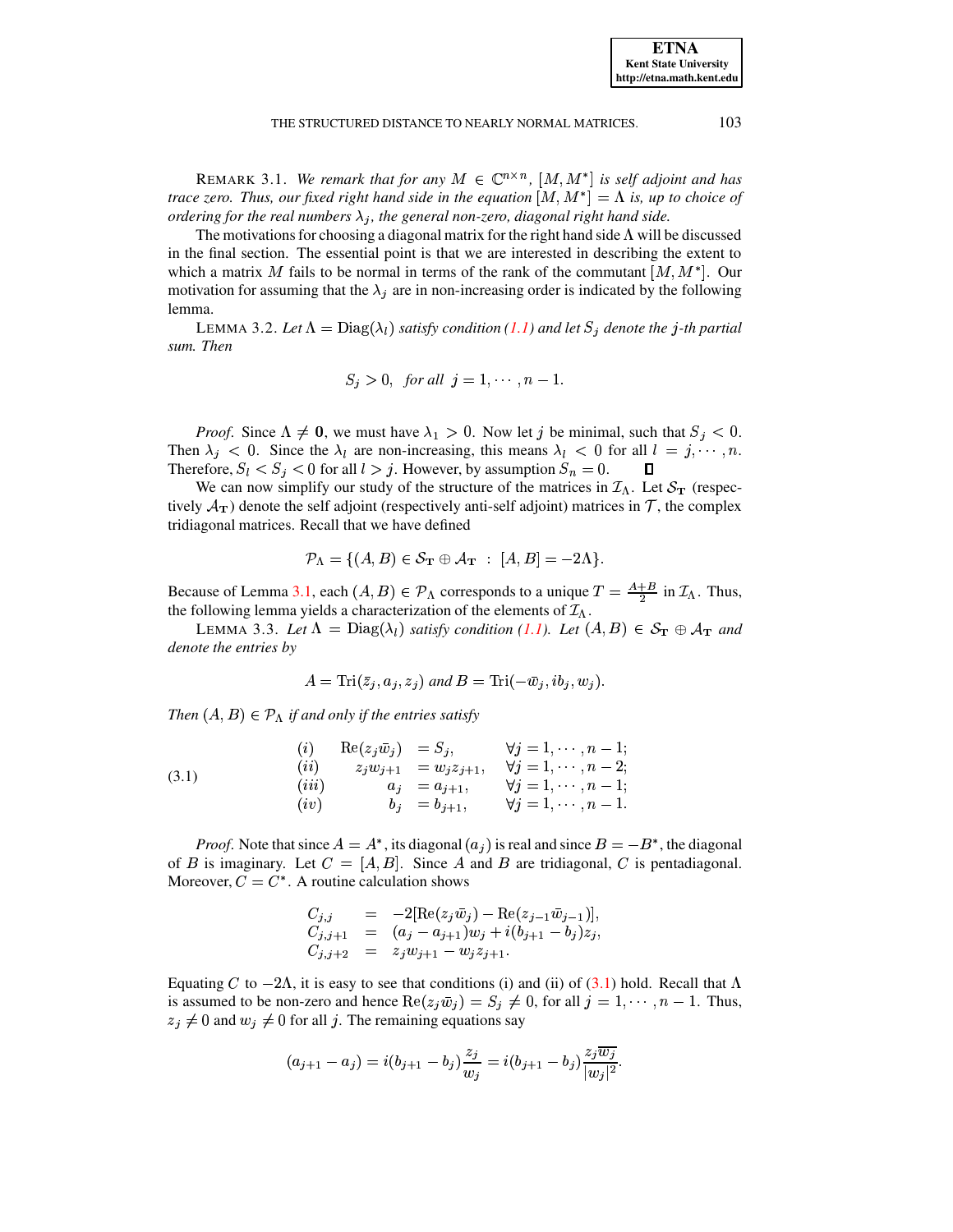REMARK 3.1. We remark that for any  $M \in \mathbb{C}^{n \times n}$ ,  $[M, M^*]$  is self adjoint and has *trace zero.* Thus, our fixed right hand side in the equation  $[M, M^*] = \Lambda$  *is, up to choice of ordering* for the real numbers  $\lambda_i$ , the general non-zero, diagonal right hand side.

The motivations for choosing a diagonal matrix for the right hand side  $\Lambda$  will be discussed in the final section. The essential point is that we are interested in describing the extent to which a matrix M fails to be normal in terms of the rank of the commutant  $[M, M^*]$ . Our motivation for assuming that the  $\lambda_i$  are in non-increasing order is indicated by the following lemma. na.<br>LEMMA 3.2. *Let*  $\Lambda = \text{Diag}(\lambda_l)$  *satisfy condition* [\(1.1\)](#page-0-0) and let  $S_j$  denote the  $j$  -th partial

<span id="page-4-2"></span>*sum. Then*

$$
S_j > 0, \text{ for all } j = 1, \cdots, n-1.
$$

*Proof.* Since  $\Lambda \neq 0$ , we must have  $\lambda_1 > 0$ . Now let j be minimal, such that  $S_j < 0$ . Then  $\lambda_j < 0$ . Since the  $\lambda_l$  are non-increasing, this means  $\lambda_l < 0$  for all  $l = j, \dots, n$ . Therefore,  $S_l < S_j < 0$  for all  $l > j$ . However, by assumption  $S_n = 0$ .  $\Box$ 

We can now simplify our study of the structure of the matrices in  $\mathcal{I}_{\Lambda}$ . Let  $\mathcal{S}_{\mathbf{T}}$  (respectively  $\mathcal{A}_{\text{T}}$ ) denote the self adjoint (respectively anti-self adjoint) matrices in  $\mathcal{T}$ , the complex tridiagonal matrices. Recall that we have defined

$$
\mathcal{P}_{\Lambda} = \{ (A, B) \in \mathcal{S}_{\mathbf{T}} \oplus \mathcal{A}_{\mathbf{T}} : [A, B] = -2\Lambda \}.
$$

Because of Lemma [3.1,](#page-3-3) each  $(A, B) \in \mathcal{P}_{\Lambda}$  corresponds to a unique  $T = \frac{A+B}{2}$  in  $\mathcal{I}_{\Lambda}$ . Thus, the following lemma yields a characterization of the elements of  $\mathcal{I}_{\Lambda}$ .

<span id="page-4-1"></span>bllowing lemma yields a characterization of the elements of  $\mathcal{I}_{\Lambda}$ .<br>LEMMA 3.3. Let  $\Lambda = \text{Diag}(\lambda_l)$  *satisfy condition* [\(1.1\)](#page-0-0). Let  $(A, B) \in \mathcal{S}_{\mathbf{T}} \oplus \mathcal{A}_{\mathbf{T}}$  and *denote the entries by*

<span id="page-4-0"></span>
$$
A = \text{Tri}(\bar{z}_i, a_i, z_i) \text{ and } B = \text{Tri}(-\bar{w}_i, ib_i, w_i).
$$

*Then*  $(A, B) \in \mathcal{P}_\Lambda$  *if and only if the entries satisfy* 

(3.1) 
$$
\begin{array}{rcl}\n(i) & \text{Re}(z_j \bar{w}_j) & = S_j, & \forall j = 1, \dots, n-1; \\
(ii) & z_j w_{j+1} & = w_j z_{j+1}, & \forall j = 1, \dots, n-2; \\
(iii) & a_j & = a_{j+1}, & \forall j = 1, \dots, n-1; \\
(iv) & b_j & = b_{j+1}, & \forall j = 1, \dots, n-1.\n\end{array}
$$

*Proof.* Note that since  $A = A^*$ , its diagonal  $(a_i)$  is real and since  $B = -B^*$ , the diagonal of B is imaginary. Let  $C = [A, B]$ . Since A and B are tridiagonal, C is pentadiagonal. Moreover,  $C = C^*$ . A routine calculation shows

$$
C_{j,j} = -2[\text{Re}(z_j \bar{w}_j) - \text{Re}(z_{j-1} \bar{w}_{j-1})],
$$
  
\n
$$
C_{j,j+1} = (a_j - a_{j+1})w_j + i(b_{j+1} - b_j)z_j,
$$
  
\n
$$
C_{j,j+2} = z_j w_{j+1} - w_j z_{j+1}.
$$

Equating C to  $-2\Lambda$ , it is easy to see that conditions (i) and (ii) of [\(3.1\)](#page-4-0) hold. Recall that  $\Lambda$ is assumed to be non-zero and hence  $\text{Re}(z_j \bar{w}_j) = S_j \neq 0$ , for all  $j = 1, \dots, n-1$ . Thus,  $z_i \neq 0$  and  $w_i \neq 0$  for all j. The remaining equations say

$$
(a_{j+1}-a_j)=i(b_{j+1}-b_j)\frac{z_j}{w_j}=i(b_{j+1}-b_j)\frac{z_j\overline{w_j}}{|w_j|^2}.
$$

**ETNA Kent State University http://etna.math.kent.edu**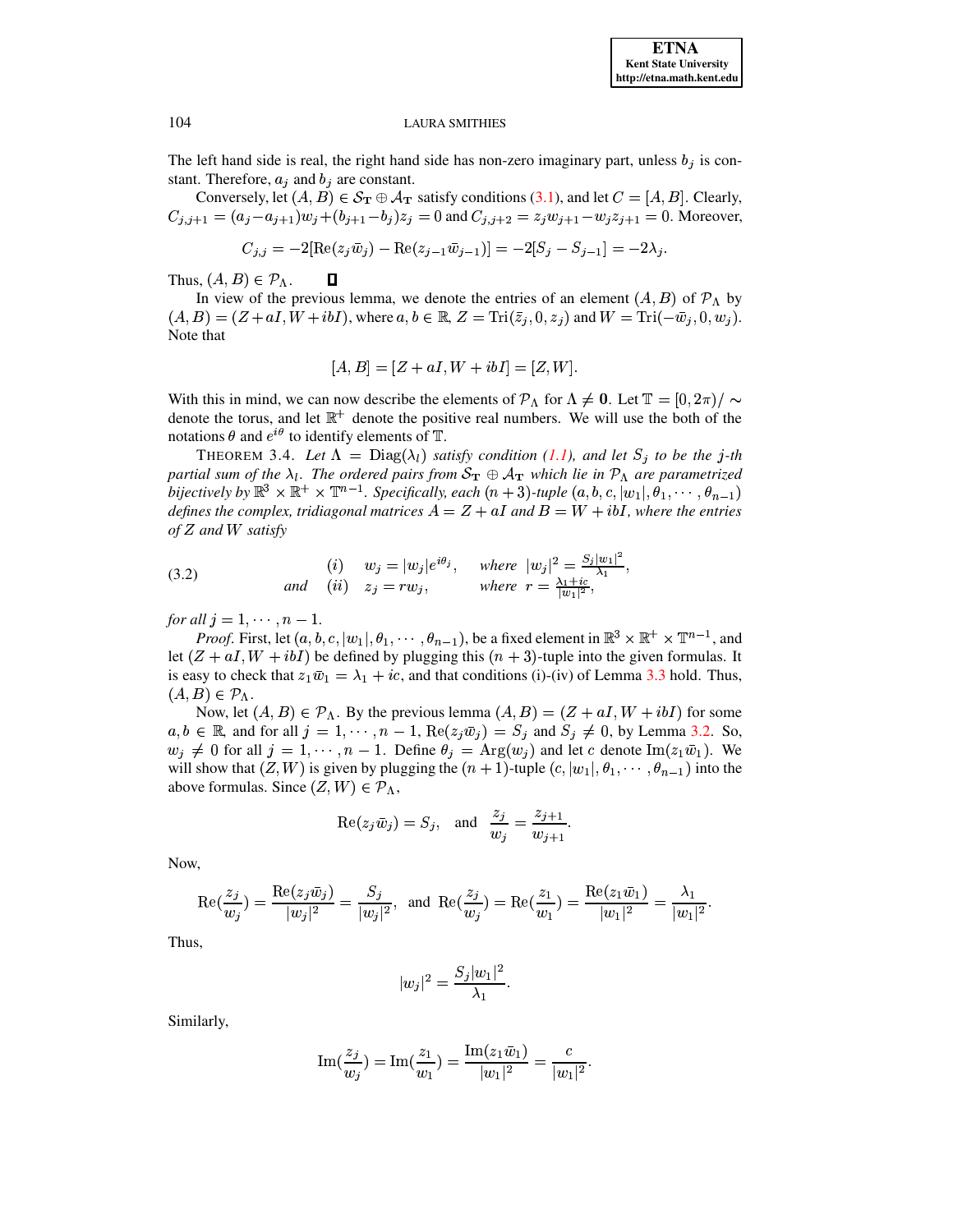The left hand side is real, the right hand side has non-zero imaginary part, unless  $b_j$  is constant. Therefore,  $a_j$  and  $b_j$  are constant.

Conversely, let  $(A, B) \in S_T \oplus A_T$  satisfy conditions (3.1), and let  $C = [A, B]$ . Clearly,  $C_{j,j+1} = (a_j - a_{j+1})w_j + (b_{j+1} - b_j)z_j = 0$  and  $C_{j,j+2} = z_jw_{j+1} - w_jz_{j+1} = 0$ . Moreover,

$$
C_{j,j} = -2[\text{Re}(z_j \bar{w}_j) - \text{Re}(z_{j-1} \bar{w}_{j-1})] = -2[S_j - S_{j-1}] = -2\lambda_j.
$$

Thus,  $(A, B) \in \mathcal{P}_\Lambda$ .  $\Box$ 

In view of the previous lemma, we denote the entries of an element  $(A, B)$  of  $\mathcal{P}_{\Lambda}$  by  $(A, B) = (Z + aI, W + ibI)$ , where  $a, b \in \mathbb{R}$ ,  $Z = \text{Tri}(\overline{z}_i, 0, z_i)$  and  $W = \text{Tri}(-\overline{w}_i, 0, w_i)$ . Note that

$$
[A, B] = [Z + aI, W + ibI] = [Z, W].
$$

With this in mind, we can now describe the elements of  $\mathcal{P}_{\Lambda}$  for  $\Lambda \neq 0$ . Let  $\mathbb{T} = [0, 2\pi)/ \sim$ denote the torus, and let  $\mathbb{R}^+$  denote the positive real numbers. We will use the both of the notations  $\theta$  and  $e^{i\theta}$  to identify elements of T.

THEOREM 3.4. Let  $\Lambda = \text{Diag}(\lambda_l)$  satisfy condition (1.1), and let  $S_j$  to be the j-th partial sum of the  $\lambda_l$ . The ordered pairs from  $S_{\bf T} \oplus A_{\bf T}$  which lie in  $\mathcal{P}_{\Lambda}$  are parametrized bijectively by  $\mathbb{R}^3 \times \mathbb{R}^+ \times \mathbb{T}^{n-1}$ . Specifically, each  $(n+3)$ -tuple  $(a, b, c, |w_1|, \theta_1, \dots, \theta_{n-1})$ defines the complex, tridiagonal matrices  $A = Z + aI$  and  $B = W + ibI$ , where the entries  $of Z$  and  $W$  satisfy

<span id="page-5-0"></span>(3.2) (i) 
$$
w_j = |w_j|e^{i\theta_j}
$$
, where  $|w_j|^2 = \frac{S_j|w_1|^2}{\lambda_1}$ ,  
and (ii)  $z_j = rw_j$ , where  $r = \frac{\lambda_1 + ic}{|w_1|^2}$ ,

for all  $i = 1, \dots, n-1$ .

*Proof.* First, let  $(a, b, c, |w_1|, \theta_1, \dots, \theta_{n-1})$ , be a fixed element in  $\mathbb{R}^3 \times \mathbb{R}^+ \times \mathbb{T}^{n-1}$ , and let  $(Z + aI, W + ibI)$  be defined by plugging this  $(n + 3)$ -tuple into the given formulas. It is easy to check that  $z_1\bar{w}_1 = \lambda_1 + ic$ , and that conditions (i)-(iv) of Lemma 3.3 hold. Thus,  $(A, B) \in \mathcal{P}_\Lambda$ .

Now, let  $(A, B) \in \mathcal{P}_\Lambda$ . By the previous lemma  $(A, B) = (Z + aI, W + ibI)$  for some  $a, b \in \mathbb{R}$ , and for all  $j = 1, \dots, n - 1$ ,  $\text{Re}(z_j \bar{w}_j) = S_j$  and  $S_j \neq 0$ , by Lemma 3.2. So,  $w_j \neq 0$  for all  $j = 1, \dots, n - 1$ . Define  $\theta_j = \text{Arg}(w_j)$  and let c denote  $\text{Im}(z_1\overline{w}_1)$ . We will show that  $(Z, W)$  is given by plugging the  $(n + 1)$ -tuple  $(c, |w_1|, \theta_1, \dots, \theta_{n-1})$  into the above formulas. Since  $(Z, W) \in \mathcal{P}_{\Lambda}$ ,

$$
\operatorname{Re}(z_j \bar{w}_j) = S_j, \quad \text{and} \quad \frac{z_j}{w_j} = \frac{z_{j+1}}{w_{j+1}}.
$$

Now,

$$
\mathrm{Re}(\frac{z_j}{w_j}) = \frac{\mathrm{Re}(z_j \bar{w}_j)}{|w_j|^2} = \frac{S_j}{|w_j|^2}, \text{ and } \mathrm{Re}(\frac{z_j}{w_j}) = \mathrm{Re}(\frac{z_1}{w_1}) = \frac{\mathrm{Re}(z_1 \bar{w}_1)}{|w_1|^2} = \frac{\lambda_1}{|w_1|^2}.
$$

Thus,

$$
|w_j|^2 = \frac{S_j |w_1|^2}{\lambda_1}.
$$

Similarly,

Im
$$
(\frac{z_j}{w_j})
$$
 = Im $(\frac{z_1}{w_1})$  =  $\frac{\text{Im}(z_1\bar{w}_1)}{|w_1|^2}$  =  $\frac{c}{|w_1|^2}$ .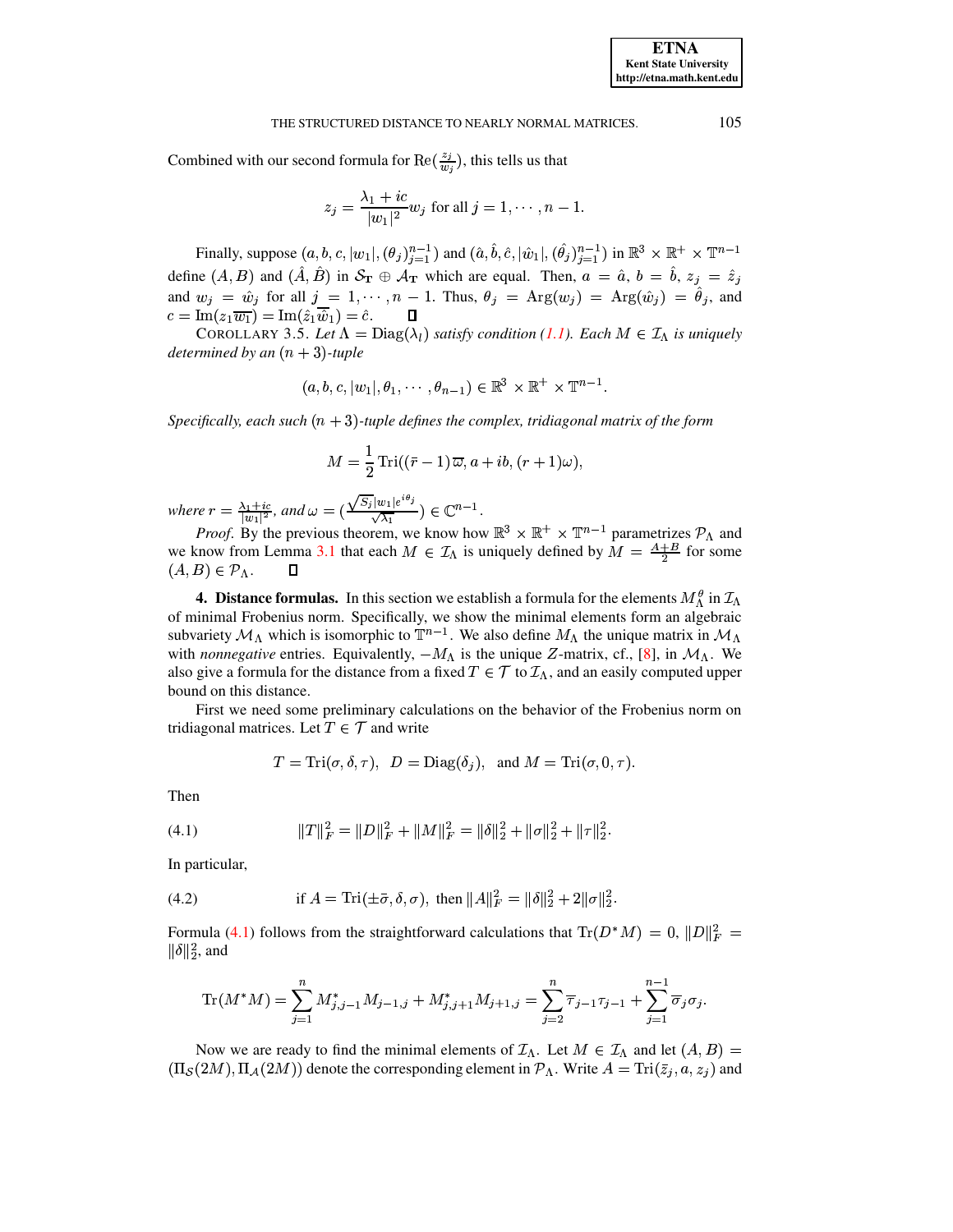#### THE STRUCTURED DISTANCE TO NEARLY NORMAL MATRICES.

Combined with our second formula for  $\text{Re}(\frac{z_j}{w_j})$ , this tells us that

$$
z_j = \frac{\lambda_1 + ic}{|w_1|^2} w_j
$$
 for all  $j = 1, \dots, n - 1$ .

Finally, suppose  $(a, b, c, |w_1|, (\theta_j)_{j=1}^{n-1})$  and  $(\hat{a}, \hat{b}, \hat{c}, |\hat{w}_1|, (\hat{\theta_j})_{j=1}^{n-1})$  in  $\mathbb{R}^3 \times \mathbb{R}^+ \times \mathbb{T}^{n-1}$ define  $(A, B)$  and  $(\hat{A}, \hat{B})$  in  $S_{\mathbf{T}} \oplus A_{\mathbf{T}}$  which are equal. Then,  $a = \hat{a}$ ,  $b = \hat{b}$ ,  $z_j = \hat{z}_j$  and  $w_j = \hat{w}_j$  for all  $j = 1, \dots, n - 1$ . Thus,  $\theta_j = \text{Arg}(w_j) = \text{Arg}(\hat{w}_j) = \hat{\theta}_j$ , and  $c = \text{Im}(z_1 \overline{w_1}) = \text{Im}(\hat{z}_1 \overline{\hat{w}}_1) = \hat{c}.$  $\Box$ 

<span id="page-6-3"></span>COROLLARY 3.5. Let  $\Lambda = \text{Diag}(\lambda_l)$  satisfy condition (1.1). Each  $M \in \mathcal{I}_{\Lambda}$  is uniquely determined by an  $(n + 3)$ -tuple

$$
(a, b, c, |w_1|, \theta_1, \cdots, \theta_{n-1}) \in \mathbb{R}^3 \times \mathbb{R}^+ \times \mathbb{T}^{n-1}
$$

Specifically, each such  $(n + 3)$ -tuple defines the complex, tridiagonal matrix of the form

$$
M = \frac{1}{2} \operatorname{Tri}((\bar{r} - 1)\,\overline{\omega}, a + ib, (r + 1)\omega),
$$

where  $r = \frac{\lambda_1 + ic}{|w_1|^2}$ , and  $\omega = (\frac{\sqrt{S_i}|w_1|e^{i\theta_j}}{\sqrt{\lambda_1}}) \in \mathbb{C}^{n-1}$ .<br>*Proof.* By the previous theorem, we know how  $\mathbb{R}^3 \times \mathbb{R}^+ \times \mathbb{T}^{n-1}$  parametrizes  $\mathcal{P}_{\Lambda}$  and we know from Lemma 3.1 that each  $M \in \mathcal{I}_\Lambda$  is uniquely defined by  $M = \frac{A+B}{2}$  for some  $(A, B) \in \mathcal{P}_\Lambda$ .  $\Box$ 

<span id="page-6-0"></span>**4. Distance formulas.** In this section we establish a formula for the elements  $M_{\Lambda}^{\theta}$  in  $\mathcal{I}_{\Lambda}$ of minimal Frobenius norm. Specifically, we show the minimal elements form an algebraic subvariety  $\mathcal{M}_{\Lambda}$  which is isomorphic to  $\mathbb{T}^{n-1}$ . We also define  $M_{\Lambda}$  the unique matrix in  $\mathcal{M}_{\Lambda}$ with *nonnegative* entries. Equivalently,  $-M_{\Lambda}$  is the unique Z-matrix, cf., [8], in  $M_{\Lambda}$ . We also give a formula for the distance from a fixed  $T \in \mathcal{T}$  to  $\mathcal{I}_\Lambda$ , and an easily computed upper bound on this distance.

First we need some preliminary calculations on the behavior of the Frobenius norm on tridiagonal matrices. Let  $T \in \mathcal{T}$  and write

$$
T = \text{Tri}(\sigma, \delta, \tau)
$$
,  $D = \text{Diag}(\delta_j)$ , and  $M = \text{Tri}(\sigma, 0, \tau)$ .

<span id="page-6-1"></span>Then

$$
(4.1) \t\t\t ||T||_F^2 = ||D||_F^2 + ||M||_F^2 = ||\delta||_2^2 + ||\sigma||_2^2 + ||\tau||_2^2.
$$

<span id="page-6-2"></span>In particular,

(4.2) if 
$$
A = \text{Tri}(\pm \bar{\sigma}, \delta, \sigma)
$$
, then  $||A||_F^2 = ||\delta||_2^2 + 2||\sigma||_2^2$ .

Formula (4.1) follows from the straightforward calculations that  $\text{Tr}(D^*M) = 0$ ,  $||D||_F^2 =$  $\|\delta\|_2^2$ , and

$$
\text{Tr}(M^*M) = \sum_{j=1}^n M^*_{j,j-1} M_{j-1,j} + M^*_{j,j+1} M_{j+1,j} = \sum_{j=2}^n \overline{\tau}_{j-1} \tau_{j-1} + \sum_{j=1}^{n-1} \overline{\sigma}_j \sigma_j.
$$

Now we are ready to find the minimal elements of  $\mathcal{I}_{\Lambda}$ . Let  $M \in \mathcal{I}_{\Lambda}$  and let  $(A, B)$  $(\Pi_{\mathcal{S}}(2M), \Pi_{\mathcal{A}}(2M))$  denote the corresponding element in  $\mathcal{P}_{\Lambda}$ . Write  $A = \text{Tri}(\bar{z}_j, a, z_j)$  and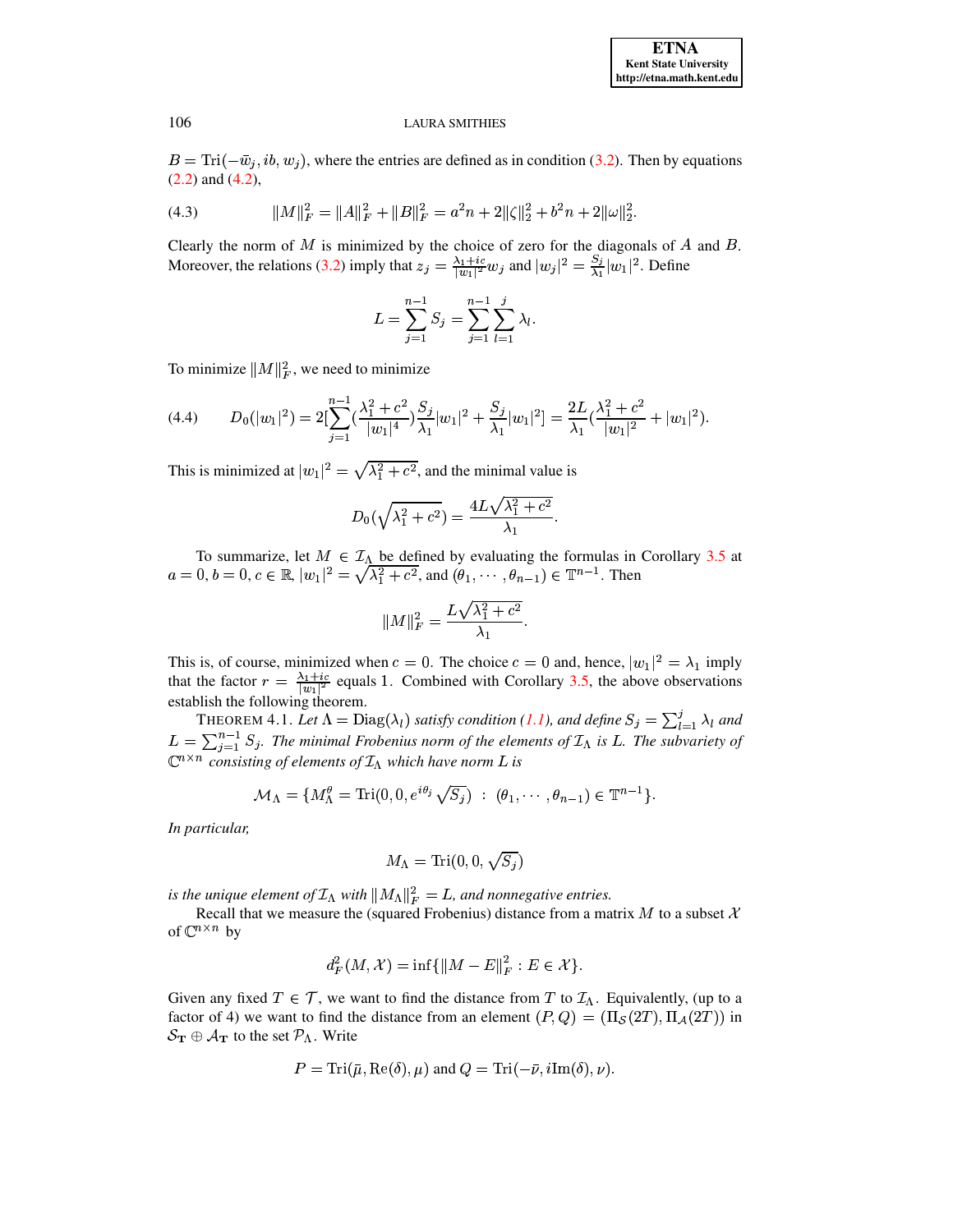## **ETNA Kent State University** http://etna.math.kent.edu

#### **LAURA SMITHIES**

 $B = \text{Tri}(-\bar{w}_j, ib, w_j)$ , where the entries are defined as in condition (3.2). Then by equations  $(2.2)$  and  $(4.2)$ ,

(4.3) 
$$
||M||_F^2 = ||A||_F^2 + ||B||_F^2 = a^2n + 2||\zeta||_2^2 + b^2n + 2||\omega||_2^2.
$$

Clearly the norm of  $M$  is minimized by the choice of zero for the diagonals of  $A$  and  $B$ . Moreover, the relations (3.2) imply that  $z_j = \frac{\lambda_1 + ic}{|w_1|^2} w_j$  and  $|w_j|^2 = \frac{S_j}{\lambda_1}|w_1|^2$ . Define

$$
L = \sum_{j=1}^{n-1} S_j = \sum_{j=1}^{n-1} \sum_{l=1}^{j} \lambda_l.
$$

To minimize  $||M||_F^2$ , we need to minimize

$$
(4.4) \qquad D_0(|w_1|^2) = 2[\sum_{j=1}^{n-1} \left(\frac{\lambda_1^2 + c^2}{|w_1|^4}\right) \frac{S_j}{\lambda_1}|w_1|^2 + \frac{S_j}{\lambda_1}|w_1|^2] = \frac{2L}{\lambda_1}\left(\frac{\lambda_1^2 + c^2}{|w_1|^2} + |w_1|^2\right).
$$

This is minimized at  $|w_1|^2 = \sqrt{\lambda_1^2 + c^2}$ , and the minimal value is

$$
D_0(\sqrt{\lambda_1^2 + c^2}) = \frac{4L\sqrt{\lambda_1^2 + c^2}}{\lambda_1}.
$$

To summarize, let  $M \in \mathcal{I}_{\Lambda}$  be defined by evaluating the formulas in Corollary 3.5 at  $a = 0, b = 0, c \in \mathbb{R}, |w_1|^2 = \sqrt{\lambda_1^2 + c^2}$ , and  $(\theta_1, \dots, \theta_{n-1}) \in \mathbb{T}^{n-1}$ . Then

$$
||M||_F^2 = \frac{L\sqrt{\lambda_1^2 + c^2}}{\lambda_1}.
$$

This is, of course, minimized when  $c = 0$ . The choice  $c = 0$  and, hence,  $|w_1|^2 = \lambda_1$  imply that the factor  $r = \frac{\lambda_1 + ic}{|w_1|^2}$  equals 1. Combined with Corollary 3.5, the above observations establish the following theorem.

<span id="page-7-0"></span>THEOREM 4.1. Let  $\Lambda = \text{Diag}(\lambda_l)$  satisfy condition (1.1), and define  $S_j = \sum_{l=1}^j \lambda_l$  and  $L = \sum_{j=1}^{n-1} S_j$ . The minimal Frobenius norm of the elements of  $\mathcal{I}_\Lambda$  is L. The subvariety of  $\mathbb{C}^{n \times n}$  consisting of elements of  $\mathcal{I}_{\Lambda}$  which have norm L is

$$
\mathcal{M}_{\Lambda} = \{ M_{\Lambda}^{\theta} = \text{Tri}(0, 0, e^{i\theta_j} \sqrt{S_j}) \; : \; (\theta_1, \cdots, \theta_{n-1}) \in \mathbb{T}^{n-1} \}.
$$

In particular,

$$
M_\Lambda = \text{Tri}(0,0,\sqrt{S_j})
$$

is the unique element of  $\mathcal{I}_{\Lambda}$  with  $||M_{\Lambda}||_F^2 = L$ , and nonnegative entries.

Recall that we measure the (squared Frobenius) distance from a matrix M to a subset  $\mathcal X$ of  $\mathbb{C}^{n \times n}$  by

$$
d_F^2(M, \mathcal{X}) = \inf \{ ||M - E||_F^2 : E \in \mathcal{X} \}.
$$

Given any fixed  $T \in \mathcal{T}$ , we want to find the distance from T to  $\mathcal{I}_\Lambda$ . Equivalently, (up to a factor of 4) we want to find the distance from an element  $(P, Q) = (\Pi_{\mathcal{S}}(2T), \Pi_{\mathcal{A}}(2T))$  in  $S_{\mathbf{T}} \oplus \mathcal{A}_{\mathbf{T}}$  to the set  $\mathcal{P}_{\Lambda}$ . Write

$$
P = \text{Tri}(\bar{\mu}, \text{Re}(\delta), \mu) \text{ and } Q = \text{Tri}(-\bar{\nu}, i\text{Im}(\delta), \nu).
$$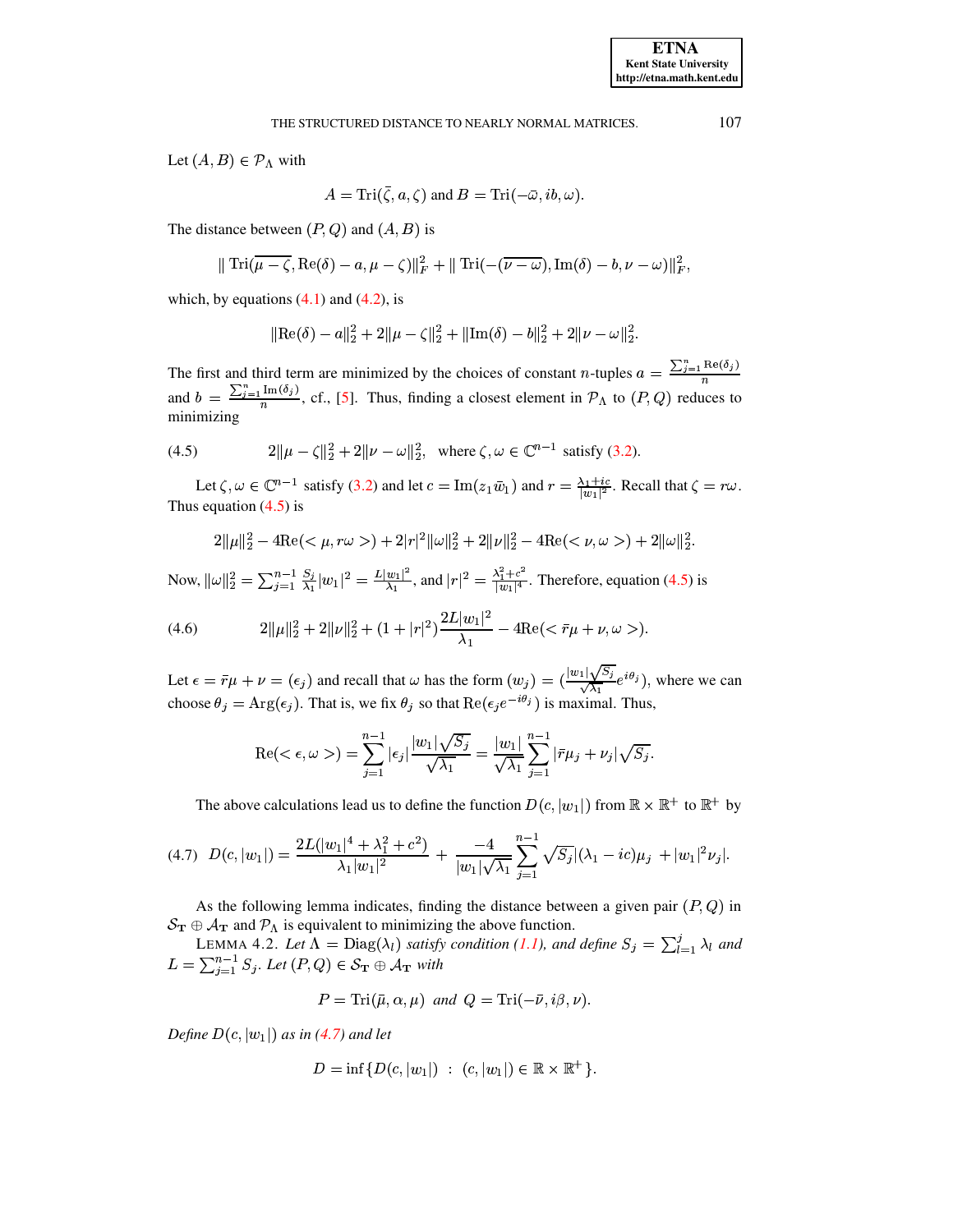Let  $(A, B) \in \mathcal{P}_{\Lambda}$  with

$$
A=\mathrm{Tri}(\bar{\zeta},a,\zeta) \text{ and } B=\mathrm{Tri}(-\bar{\omega},ib,\omega).
$$

The distance between  $(P, Q)$  and  $(A, B)$  is

$$
\|\operatorname{Tri}(\overline{\mu-\zeta},\operatorname{Re}(\delta)-a,\mu-\zeta)\|_{F}^{2}+\|\operatorname{Tri}(-(\overline{\nu-\omega}),\operatorname{Im}(\delta)-b,\nu-\omega)\|_{F}^{2},
$$

which, by equations  $(4.1)$  and  $(4.2)$ , is

$$
\|\text{Re}(\delta) - a\|_2^2 + 2\|\mu - \zeta\|_2^2 + \|\text{Im}(\delta) - b\|_2^2 + 2\|\nu - \omega\|_2^2.
$$

The first and third term are minimized by the choices of constant *n*-tuples  $a = \frac{\sum_{j=1}^{n} \text{Re}(\delta_j)}{n}$ and  $b = \frac{\sum_{j=1}^{n} \text{Im}(\delta_j)}{n}$ , cf., [5]. Thus, finding a closest element in  $\mathcal{P}_{\Lambda}$  to  $(P, Q)$  reduces to minimizing

<span id="page-8-0"></span>(4.5) 
$$
2\|\mu - \zeta\|_2^2 + 2\|\nu - \omega\|_2^2, \text{ where } \zeta, \omega \in \mathbb{C}^{n-1} \text{ satisfy (3.2)}.
$$

Let  $\zeta, \omega \in \mathbb{C}^{n-1}$  satisfy (3.2) and let  $c = \text{Im}(z_1\bar{w}_1)$  and  $r = \frac{\lambda_1 + ic}{|w_1|^2}$ . Recall that  $\zeta = r\omega$ . Thus equation  $(4.5)$  is

$$
2\|\mu\|_{2}^{2} - 4\text{Re}(<\mu, r\omega>) + 2|r|^{2}\|\omega\|_{2}^{2} + 2\|\nu\|_{2}^{2} - 4\text{Re}(<\nu, \omega>) + 2\|\omega\|_{2}^{2}.
$$

Now,  $\|\omega\|_2^2 = \sum_{j=1}^{n-1} \frac{S_j}{\lambda_1} |w_1|^2 = \frac{L|w_1|^2}{\lambda_1}$ , and  $|r|^2 = \frac{\lambda_1^2 + c^2}{|w_1|^4}$ . Therefore, equation (4.5) is

(4.6) 
$$
2\|\mu\|_2^2 + 2\|\nu\|_2^2 + (1+|r|^2)\frac{2L|w_1|^2}{\lambda_1} - 4\mathrm{Re}(<\bar{r}\mu+\nu,\omega>).
$$

Let  $\epsilon = \bar{r}\mu + \nu = (\epsilon_j)$  and recall that  $\omega$  has the form  $(w_j) = (\frac{|w_1|\sqrt{S_j}}{\sqrt{\lambda_1}}e^{i\theta_j})$ , where we can choose  $\theta_j = \text{Arg}(\epsilon_j)$ . That is, we fix  $\theta_j$  so that  $\text{Re}(\epsilon_j e^{-i\theta_j})$  is maximal. Thus,

$$
\operatorname{Re}(<\epsilon,\omega>) = \sum_{j=1}^{n-1} |\epsilon_j| \frac{|w_1|\sqrt{S_j}}{\sqrt{\lambda_1}} = \frac{|w_1|}{\sqrt{\lambda_1}} \sum_{j=1}^{n-1} |\bar{r}\mu_j + \nu_j| \sqrt{S_j}.
$$

The above calculations lead us to define the function  $D(c, |w_1|)$  from  $\mathbb{R} \times \mathbb{R}^+$  to  $\mathbb{R}^+$  by

$$
(4.7) \quad D(c, |w_1|) = \frac{2L(|w_1|^4 + \lambda_1^2 + c^2)}{\lambda_1 |w_1|^2} + \frac{-4}{|w_1|\sqrt{\lambda_1}} \sum_{j=1}^{n-1} \sqrt{S_j} |(\lambda_1 - ic)\mu_j + |w_1|^2 \nu_j|.
$$

As the following lemma indicates, finding the distance between a given pair  $(P, Q)$  in  $S_{\rm T} \oplus A_{\rm T}$  and  $P_{\Lambda}$  is equivalent to minimizing the above function.

LEMMA 4.2. Let  $\Lambda = \text{Diag}(\lambda_l)$  satisfy condition (1.1), and define  $S_j = \sum_{l=1}^j \lambda_l$  and  $L = \sum_{j=1}^{n-1} S_j$ . Let  $(P, Q) \in S_{\mathbf{T}} \oplus \mathcal{A}_{\mathbf{T}}$  with

<span id="page-8-1"></span>
$$
P = \text{Tri}(\bar{\mu}, \alpha, \mu) \text{ and } Q = \text{Tri}(-\bar{\nu}, i\beta, \nu).
$$

Define  $D(c, |w_1|)$  as in (4.7) and let

$$
D = \inf \{ D(c, |w_1|) : (c, |w_1|) \in \mathbb{R} \times \mathbb{R}^+ \}
$$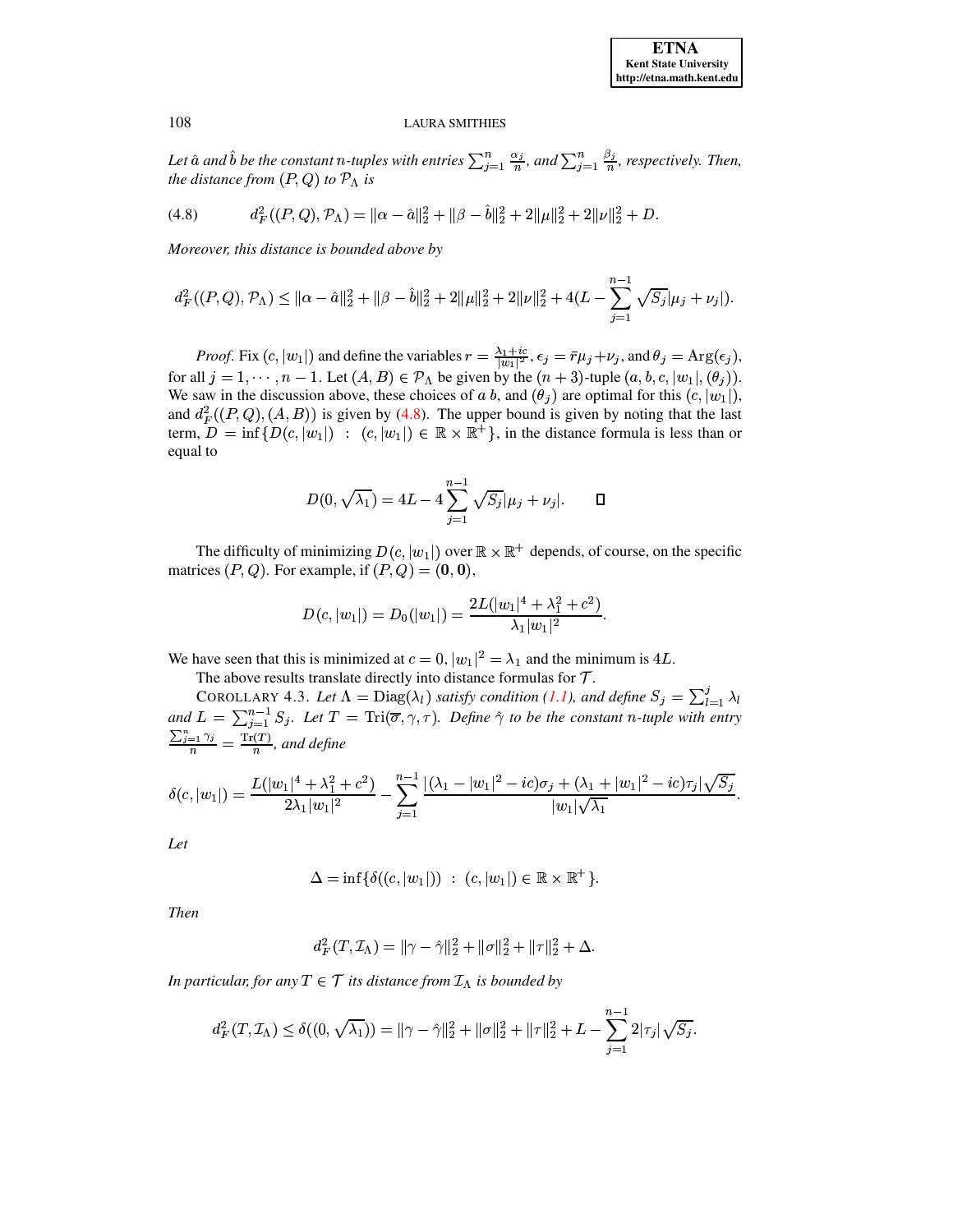<span id="page-9-0"></span>Let  $\hat{a}$  and  $\hat{b}$  be the constant *n*-tuples with entries  $\sum_{j=1}^{n} \frac{\alpha_j}{n}$ , and  $\sum_{j=1}^{n} \frac{\beta_j}{n}$ , respectively. Then, the distance from  $(P,Q)$  to  $\mathcal{P}_{\Lambda}$  is

$$
(4.8) \t d_F^2((P,Q),\mathcal{P}_\Lambda)=\|\alpha-\hat{\alpha}\|_2^2+\|\beta-\hat{b}\|_2^2+2\|\mu\|_2^2+2\|\nu\|_2^2+D.
$$

Moreover, this distance is bounded above by

$$
d_F^2((P,Q), \mathcal{P}_\Lambda) \le ||\alpha - \hat{\alpha}||_2^2 + ||\beta - \hat{b}||_2^2 + 2||\mu||_2^2 + 2||\nu||_2^2 + 4(L - \sum_{j=1}^{n-1} \sqrt{S_j}|\mu_j + \nu_j|).
$$

*Proof.* Fix  $(c, |w_1|)$  and define the variables  $r = \frac{\lambda_1 + ic}{|w_1|^2}$ ,  $\epsilon_j = \overline{r}\mu_j + \nu_j$ , and  $\theta_j = \text{Arg}(\epsilon_j)$ , for all  $j = 1, \dots, n - 1$ . Let  $(A, B) \in \mathcal{P}_\Lambda$  be given by the  $(n + 3)$ -tuple  $(a, b, c, |w_1|, (\theta_j))$ . We saw in the discussion above, these choices of a b, and  $(\theta_i)$  are optimal for this  $(c, |w_1|)$ , and  $d_F^2((P,Q),(A,B))$  is given by (4.8). The upper bound is given by noting that the last term,  $D = \inf \{ D(c, |w_1|) : (c, |w_1|) \in \mathbb{R} \times \mathbb{R}^+ \}$ , in the distance formula is less than or equal to

$$
D(0, \sqrt{\lambda_1}) = 4L - 4\sum_{j=1}^{n-1} \sqrt{S_j} |\mu_j + \nu_j|.
$$

The difficulty of minimizing  $D(c, |w_1|)$  over  $\mathbb{R} \times \mathbb{R}^+$  depends, of course, on the specific matrices  $(P, Q)$ . For example, if  $(P, Q) = (0, 0)$ ,

$$
D(c,|w_1|)=D_0(|w_1|)=\frac{2L(|w_1|^4+\lambda_1^2+c^2)}{\lambda_1|w_1|^2}
$$

We have seen that this is minimized at  $c = 0$ ,  $|w_1|^2 = \lambda_1$  and the minimum is 4L.

The above results translate directly into distance formulas for  $T$ .

COROLLARY 4.3. Let  $\Lambda = \text{Diag}(\lambda_l)$  satisfy condition (1.1), and define  $S_j = \sum_{l=1}^j \lambda_l$ and  $L = \sum_{j=1}^{n-1} S_j$ . Let  $T = \text{Tri}(\overline{\sigma}, \gamma, \tau)$ . Define  $\hat{\gamma}$  to be the constant n-tuple with entry  $\frac{\sum_{j=1}^{n} \gamma_j}{n} = \frac{\text{Tr}(T)}{n}$ , and define

$$
\delta(c, |w_1|) = \frac{L(|w_1|^4 + \lambda_1^2 + c^2)}{2\lambda_1|w_1|^2} - \sum_{j=1}^{n-1} \frac{|(\lambda_1 - |w_1|^2 - ic)\sigma_j + (\lambda_1 + |w_1|^2 - ic)\tau_j|\sqrt{S_j}}{|w_1|\sqrt{\lambda_1}}
$$

Let

$$
\Delta = \inf \{ \delta((c, |w_1|)) \ : \ (c, |w_1|) \in \mathbb{R} \times \mathbb{R}^+ \}.
$$

**Then** 

$$
d_F^2(T, \mathcal{I}_\Lambda) = \|\gamma - \hat{\gamma}\|_2^2 + \|\sigma\|_2^2 + \|\tau\|_2^2 + \Delta.
$$

In particular, for any  $T \in \mathcal{T}$  its distance from  $\mathcal{I}_{\Lambda}$  is bounded by

$$
d_F^2(T, \mathcal{I}_\Lambda) \le \delta((0, \sqrt{\lambda_1})) = \|\gamma - \hat{\gamma}\|_2^2 + \|\sigma\|_2^2 + \|\tau\|_2^2 + L - \sum_{j=1}^{n-1} 2|\tau_j|\sqrt{S_j}.
$$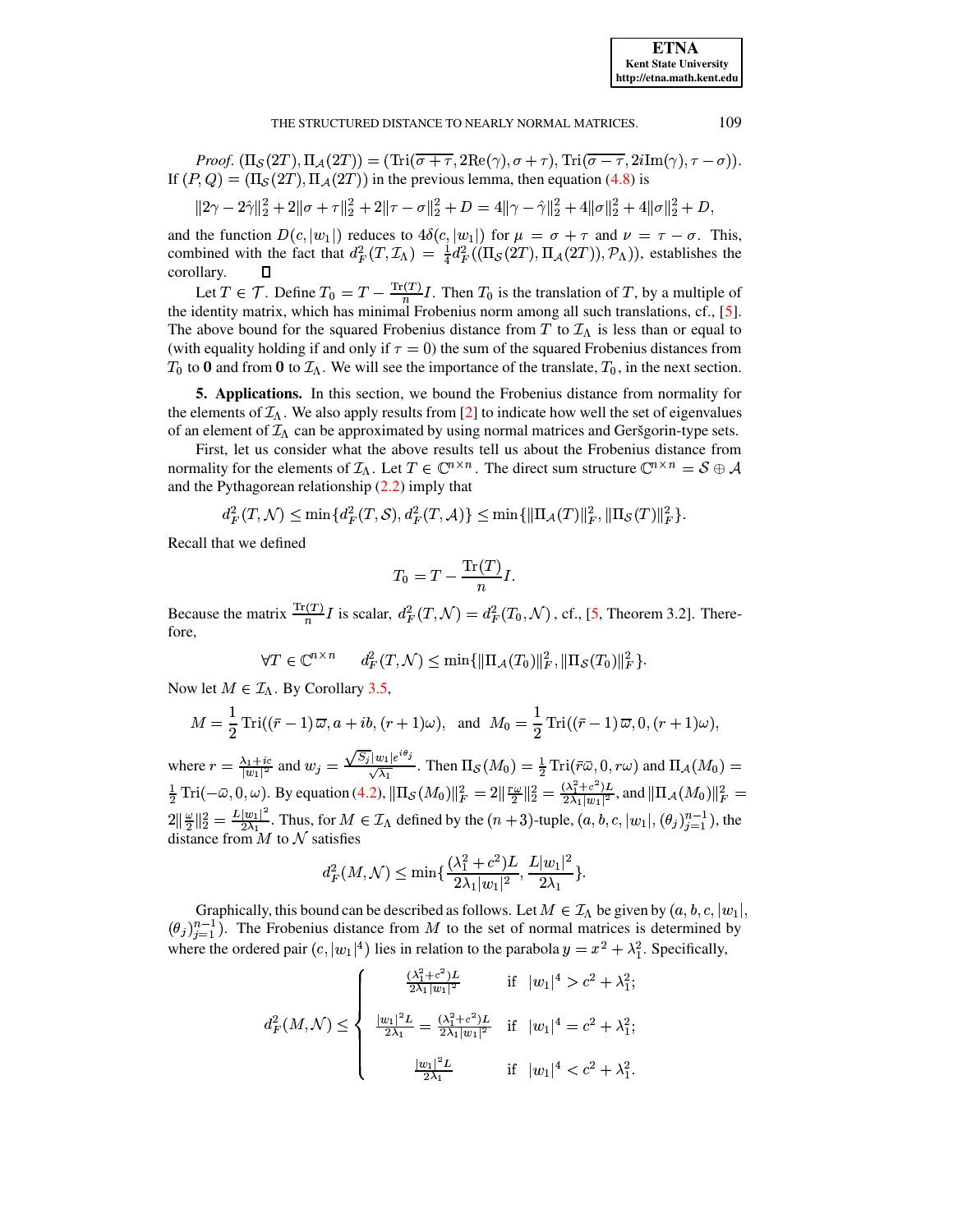#### THE STRUCTURED DISTANCE TO NEARLY NORMAL MATRICES.

*Proof.*  $(\Pi_{\mathcal{S}}(2T), \Pi_{\mathcal{A}}(2T)) = (\text{Tri}(\overline{\sigma + \tau}, 2\text{Re}(\gamma), \sigma + \tau), \text{Tri}(\overline{\sigma - \tau}, 2i\text{Im}(\gamma), \tau - \sigma)).$ If  $(P,Q) = (\Pi_{\mathcal{S}}(2T), \Pi_{\mathcal{A}}(2T))$  in the previous lemma, then equation (4.8) is

$$
||2\gamma - 2\hat{\gamma}||_2^2 + 2||\sigma + \tau||_2^2 + 2||\tau - \sigma||_2^2 + D = 4||\gamma - \hat{\gamma}||_2^2 + 4||\sigma||_2^2 + 4||\sigma||_2^2 + D,
$$

and the function  $D(c, |w_1|)$  reduces to  $4\delta(c, |w_1|)$  for  $\mu = \sigma + \tau$  and  $\nu = \tau - \sigma$ . This, combined with the fact that  $d_F^2(T, \mathcal{I}_\Lambda) = \frac{1}{4} d_F^2((\Pi_{\mathcal{S}}(2T), \Pi_{\mathcal{A}}(2T)), \mathcal{P}_\Lambda))$ , establishes the corollary. О

Let  $T \in \mathcal{T}$ . Define  $T_0 = T - \frac{\text{Tr}(T)}{n}I$ . Then  $T_0$  is the translation of  $T$ , by a multiple of the identity matrix, which has minimal Frobenius norm among all such translations, cf., [5]. The above bound for the squared Frobenius distance from T to  $\mathcal{I}_{\Lambda}$  is less than or equal to (with equality holding if and only if  $\tau = 0$ ) the sum of the squared Frobenius distances from  $T_0$  to 0 and from 0 to  $\mathcal{I}_\Lambda$ . We will see the importance of the translate,  $T_0$ , in the next section.

<span id="page-10-0"></span>5. Applications. In this section, we bound the Frobenius distance from normality for the elements of  $\mathcal{I}_\Lambda$ . We also apply results from [2] to indicate how well the set of eigenvalues of an element of  $\mathcal{I}_{\Lambda}$  can be approximated by using normal matrices and Geršgorin-type sets.

First, let us consider what the above results tell us about the Frobenius distance from normality for the elements of  $\mathcal{I}_\Lambda$ . Let  $T \in \mathbb{C}^{n \times n}$ . The direct sum structure  $\mathbb{C}^{n \times n} = \mathcal{S} \oplus \mathcal{A}$ and the Pythagorean relationship  $(2.2)$  imply that

$$
d_F^2(T, \mathcal{N}) \le \min\{d_F^2(T, \mathcal{S}), d_F^2(T, \mathcal{A})\} \le \min\{\|\Pi_{\mathcal{A}}(T)\|_F^2, \|\Pi_{\mathcal{S}}(T)\|_F^2\}.
$$

Recall that we defined

$$
T_0 = T - \frac{\text{Tr}(T)}{n}I.
$$

Because the matrix  $\frac{\text{Tr}(T)}{n}I$  is scalar,  $d_F^2(T, \mathcal{N}) = d_F^2(T_0, \mathcal{N})$ , cf., [5, Theorem 3.2]. Therefore.

$$
\forall T \in \mathbb{C}^{n \times n} \qquad d_F^2(T,\mathcal{N}) \le \min\{ \|\Pi_{\mathcal{A}}(T_0)\|_F^2, \|\Pi_{\mathcal{S}}(T_0)\|_F^2 \}.
$$

Now let  $M \in \mathcal{I}_\Lambda$ . By Corollary 3.5,

$$
M = \frac{1}{2} \operatorname{Tri}((\bar{r} - 1)\,\overline{\omega}, a + ib, (r + 1)\omega), \text{ and } M_0 = \frac{1}{2} \operatorname{Tri}((\bar{r} - 1)\,\overline{\omega}, 0, (r + 1)\omega),
$$

where  $r = \frac{\lambda_1 + ic}{|w_1|^2}$  and  $w_j = \frac{\sqrt{S_j}|w_1|e^{i\theta_j}}{\sqrt{\lambda_1}}$ . Then  $\Pi_S(M_0) = \frac{1}{2} \operatorname{Tri}(\bar{r}\bar{\omega}, 0, r\omega)$  and  $\Pi_A(M_0) = \frac{1}{2} \operatorname{Tri}(-\bar{\omega}, 0, \omega)$ . By equation (4.2),  $\|\Pi_S(M_0)\|_F^2 = 2\left\|\frac{r\omega}{2}\right\|_2^2 = \frac{(\lambda_1^2 + c^2)L}{$  $2\|\frac{\omega}{2}\|_2^2 = \frac{L|w_1|^2}{2\lambda_1}$ . Thus, for  $M \in \mathcal{I}_\Lambda$  defined by the  $(n+3)$ -tuple,  $(a, b, c, |w_1|, (\theta_j)_{j=1}^{n-1})$ , the distance from  $M$  to  $N$  satisfies

$$
d_F^2(M, \mathcal{N}) \le \min\{\frac{(\lambda_1^2 + c^2)L}{2\lambda_1|w_1|^2}, \frac{L|w_1|^2}{2\lambda_1}\}
$$

Graphically, this bound can be described as follows. Let  $M \in \mathcal{I}_{\Lambda}$  be given by  $(a, b, c, |w_1|)$ ,  $(\theta_j)_{i=1}^{n-1}$ ). The Frobenius distance from M to the set of normal matrices is determined by where the ordered pair  $(c, |w_1|^4)$  lies in relation to the parabola  $y = x^2 + \lambda_1^2$ . Specifically,

$$
d_F^2(M,\mathcal{N}) \leq \begin{cases} \frac{(\lambda_1^2 + c^2)L}{2\lambda_1 |w_1|^2} & \text{if } |w_1|^4 > c^2 + \lambda_1^2; \\ \frac{|w_1|^2 L}{2\lambda_1} = \frac{(\lambda_1^2 + c^2)L}{2\lambda_1 |w_1|^2} & \text{if } |w_1|^4 = c^2 + \lambda_1^2; \\ \frac{|w_1|^2 L}{2\lambda_1} & \text{if } |w_1|^4 < c^2 + \lambda_1^2. \end{cases}
$$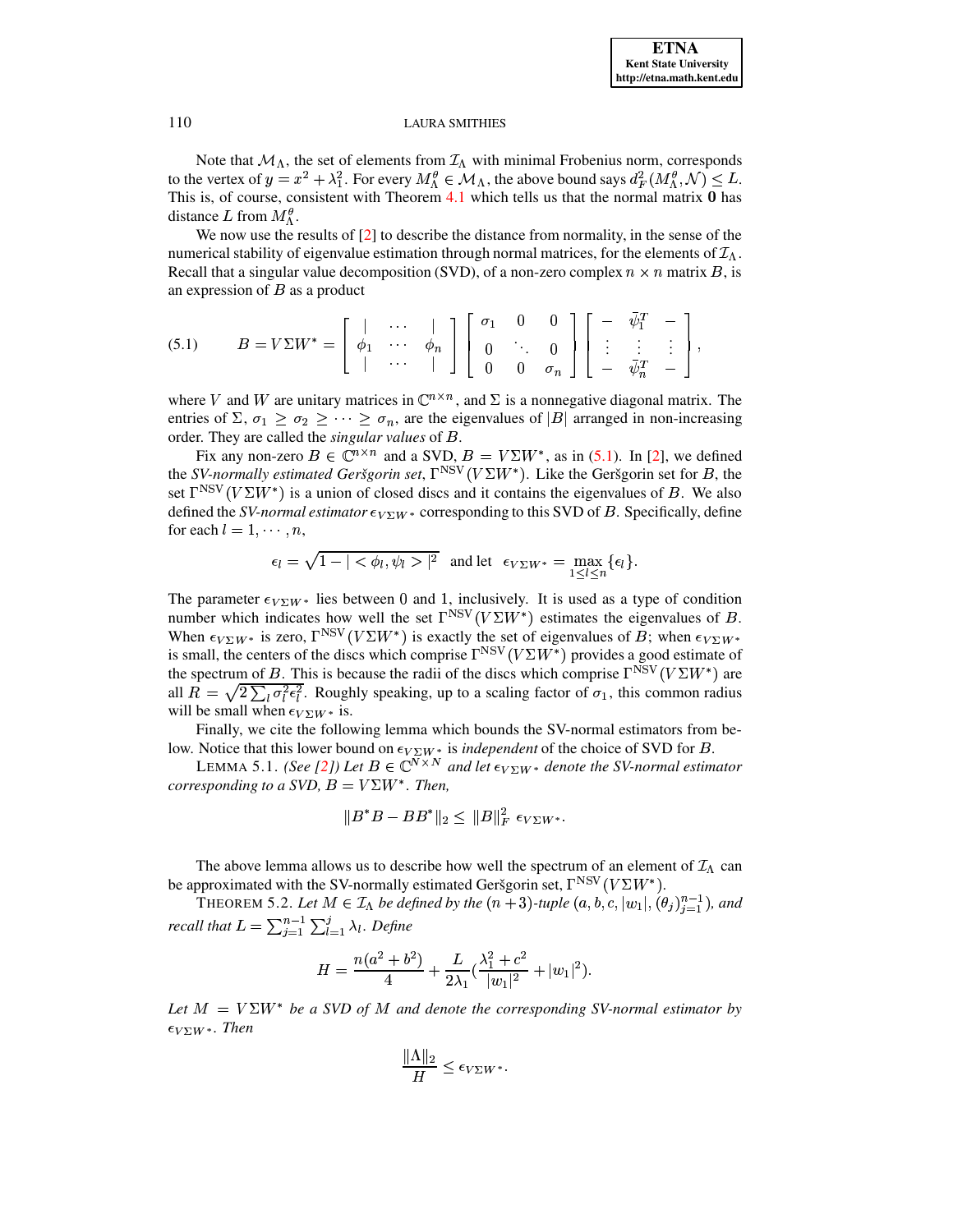Note that  $\mathcal{M}_{\Lambda}$ , the set of elements from  $\mathcal{I}_{\Lambda}$  with minimal Frobenius norm, corresponds to the vertex of  $y = x^2 + \lambda_1^2$ . For every  $M_A^{\theta} \in \mathcal{M}_{\Lambda}$ , the above bound says  $d_F^2(M_A^{\theta}, \mathcal{N}) \leq L$ . This is, of course, consistent with Theorem  $4.1$  which tells us that the normal matrix  $0$  has distance L from  $M_{\Lambda}^{\theta}$ .

We now use the results of  $[2]$  to describe the distance from normality, in the sense of the numerical stability of eigenvalue estimation through normal matrices, for the elements of  $\mathcal{I}_{\Lambda}$ . Recall that a singular value decomposition (SVD), of a non-zero complex  $n \times n$  matrix B, is an expression of  $B$  as a product

<span id="page-11-0"></span>
$$
(5.1) \qquad B = V\Sigma W^* = \left[ \begin{array}{cccc} | & \cdots & | \\ \phi_1 & \cdots & \phi_n \\ | & \cdots & | \end{array} \right] \left[ \begin{array}{cccc} \sigma_1 & 0 & 0 \\ 0 & \ddots & 0 \\ 0 & 0 & \sigma_n \end{array} \right] \left[ \begin{array}{cccc} - & \bar{\psi}_1^T & - \\ \vdots & \vdots & \vdots \\ - & \bar{\psi}_n^T & - \end{array} \right],
$$

where V and W are unitary matrices in  $\mathbb{C}^{n \times n}$ , and  $\Sigma$  is a nonnegative diagonal matrix. The entries of  $\Sigma$ ,  $\sigma_1 \ge \sigma_2 \ge \cdots \ge \sigma_n$ , are the eigenvalues of |B| arranged in non-increasing order. They are called the singular values of B.

Fix any non-zero  $B \in \mathbb{C}^{n \times n}$  and a SVD,  $B = V\Sigma W^*$ , as in (5.1). In [2], we defined the SV-normally estimated Geršgorin set,  $\Gamma^{NSV}(V\Sigma W^*)$ . Like the Geršgorin set for B, the set  $\Gamma^{NSV}(V\Sigma W^*)$  is a union of closed discs and it contains the eigenvalues of B. We also defined the SV-normal estimator  $\epsilon_{V\Sigma W^*}$  corresponding to this SVD of B. Specifically, define for each  $l = 1, \dots, n$ ,

$$
\epsilon_l = \sqrt{1 - |\langle \phi_l, \psi_l \rangle|^2} \text{ and let } \epsilon_{V\Sigma W^*} = \max_{1 \leq l \leq n} \{\epsilon_l\}.
$$

The parameter  $\epsilon_{V\Sigma}W^*$  lies between 0 and 1, inclusively. It is used as a type of condition number which indicates how well the set  $\Gamma^{NSV}(V\Sigma W^*)$  estimates the eigenvalues of B. When  $\epsilon_{V\Sigma W^*}$  is zero,  $\Gamma^{NSV}(V\Sigma W^*)$  is exactly the set of eigenvalues of B; when  $\epsilon_{V\Sigma W^*}$ is small, the centers of the discs which comprise  $\Gamma^{NSV}(V\Sigma W^*)$  provides a good estimate of the spectrum of B. This is because the radii of the discs which comprise  $\Gamma^{NSV}(V\Sigma W^*)$  are all  $R = \sqrt{2 \sum_i \sigma_i^2 \epsilon_i^2}$ . Roughly speaking, up to a scaling factor of  $\sigma_1$ , this common radius will be small when  $\epsilon_{V\Sigma W^*}$  is.

Finally, we cite the following lemma which bounds the SV-normal estimators from below. Notice that this lower bound on  $\epsilon_{V\Sigma W^*}$  is *independent* of the choice of SVD for *B*.

LEMMA 5.1. (See [2]) Let  $B \in \mathbb{C}^{N \times N}$  and let  $\epsilon_{V \Sigma W^*}$  denote the SV-normal estimator corresponding to a SVD,  $B = V\Sigma W^*$ . Then,

$$
||B^*B - BB^*||_2 \le ||B||_F^2 \epsilon_{V\Sigma W^*}.
$$

The above lemma allows us to describe how well the spectrum of an element of  $\mathcal{I}_\Lambda$  can be approximated with the SV-normally estimated Geršgorin set,  $\Gamma^{NSV}(V\Sigma W^*)$ .

THEOREM 5.2. Let  $M \in \mathcal{I}_\Lambda$  be defined by the  $(n+3)$ -tuple  $(a, b, c, |w_1|, (\theta_j)_{i=1}^{n-1})$ , and recall that  $L = \sum_{i=1}^{n-1} \sum_{l=1}^{j} \lambda_l$ . Define

$$
H = \frac{n(a^2 + b^2)}{4} + \frac{L}{2\lambda_1} \left(\frac{\lambda_1^2 + c^2}{|w_1|^2} + |w_1|^2\right).
$$

Let  $M = V\Sigma W^*$  be a SVD of M and denote the corresponding SV-normal estimator by  $\epsilon_{V\Sigma W^*}$ . Then

$$
\frac{\|\Lambda\|_2}{H} \le \epsilon_{V\Sigma W^*}.
$$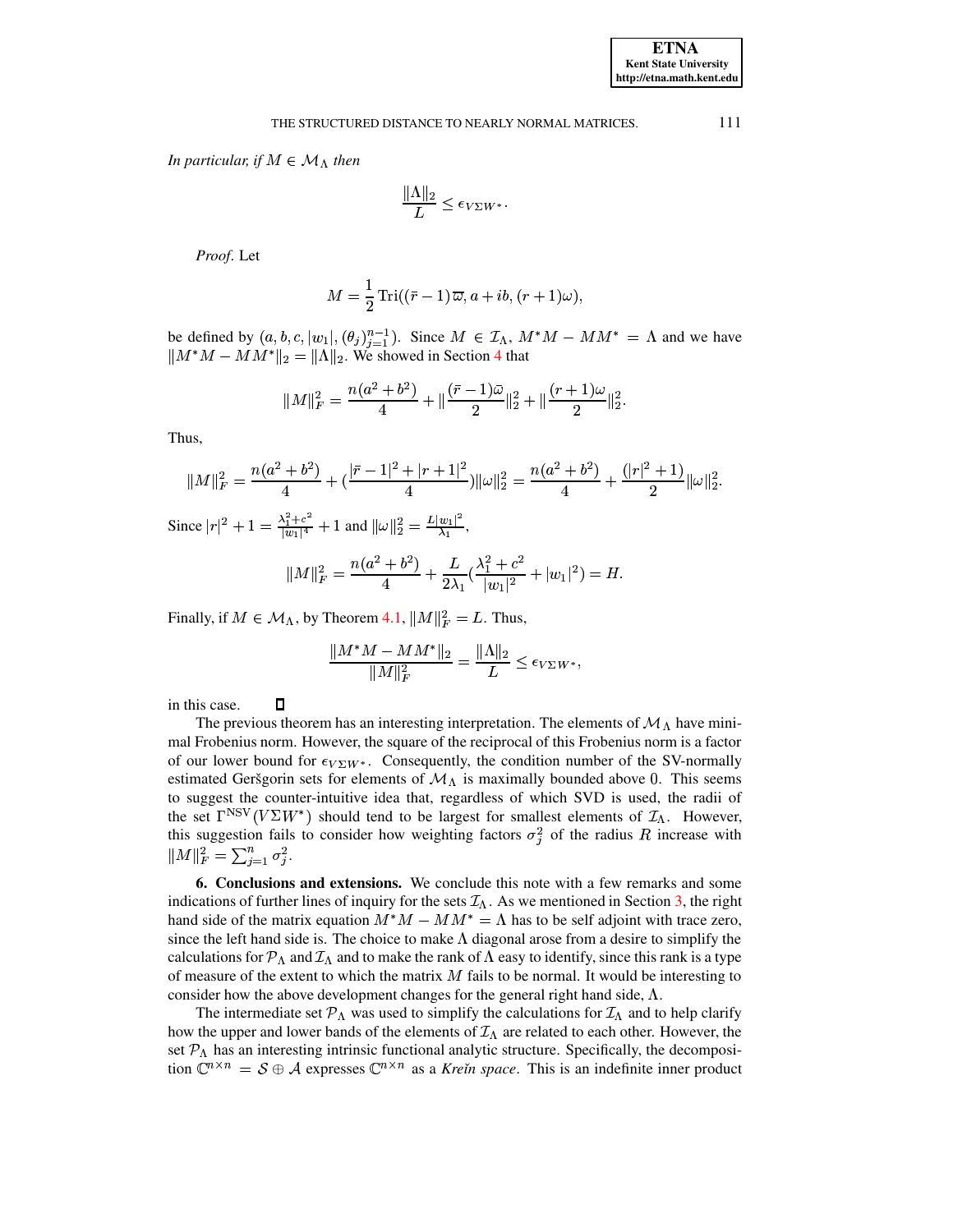## THE STRUCTURED DISTANCE TO NEARLY NORMAL MATRICES.

In particular, if  $M \in \mathcal{M}_{\Lambda}$  then

$$
\frac{\|\Lambda\|_2}{L} \le \epsilon_{V\Sigma W^*}.
$$

Proof. Let

$$
M = \frac{1}{2} \operatorname{Tri}((\bar{r} - 1) \overline{\omega}, a + ib, (r + 1)\omega),
$$

be defined by  $(a, b, c, |w_1|, (\theta_j)_{j=1}^{n-1})$ . Since  $M \in \mathcal{I}_\Lambda$ ,  $M^*M - MM^* = \Lambda$  and we have  $||M^*M - MM^*||_2 = ||\Lambda||_2$ . We showed in Section 4 that

$$
||M||_F^2 = \frac{n(a^2 + b^2)}{4} + ||\frac{(\bar{r} - 1)\bar{\omega}}{2}||_2^2 + ||\frac{(r + 1)\omega}{2}||_2^2
$$

Thus,

$$
||M||_F^2 = \frac{n(a^2 + b^2)}{4} + (\frac{|\bar{r} - 1|^2 + |r + 1|^2}{4}) ||\omega||_2^2 = \frac{n(a^2 + b^2)}{4} + \frac{(|r|^2 + 1)}{2} ||\omega||_2^2.
$$

Since  $|r|^2 + 1 = \frac{\lambda_1^2 + c^2}{|w_1|^4} + 1$  and  $||\omega||_2^2 = \frac{L|w_1|^2}{\lambda_1}$ ,

$$
||M||_F^2 = \frac{n(a^2 + b^2)}{4} + \frac{L}{2\lambda_1} \left(\frac{\lambda_1^2 + c^2}{|w_1|^2} + |w_1|^2\right) = H.
$$

Finally, if  $M \in \mathcal{M}_{\Lambda}$ , by Theorem 4.1,  $||M||_F^2 = L$ . Thus,

$$
\frac{\|M^*M - MM^*\|_2}{\|M\|_F^2} = \frac{\|\Lambda\|_2}{L} \le \epsilon_{V\Sigma W^*},
$$

 $\Box$ in this case.

The previous theorem has an interesting interpretation. The elements of  $\mathcal{M}_{\Lambda}$  have minimal Frobenius norm. However, the square of the reciprocal of this Frobenius norm is a factor of our lower bound for  $\epsilon_{V\Sigma}W^*$ . Consequently, the condition number of the SV-normally estimated Geršgorin sets for elements of  $\mathcal{M}_{\Lambda}$  is maximally bounded above 0. This seems to suggest the counter-intuitive idea that, regardless of which SVD is used, the radii of the set  $\Gamma^{NSV}(V\Sigma W^*)$  should tend to be largest for smallest elements of  $\mathcal{I}_{\Lambda}$ . However, this suggestion fails to consider how weighting factors  $\sigma_i^2$  of the radius R increase with  $||M||_F^2 = \sum_{i=1}^n \sigma_i^2.$ 

6. Conclusions and extensions. We conclude this note with a few remarks and some indications of further lines of inquiry for the sets  $\mathcal{I}_{\Lambda}$ . As we mentioned in Section 3, the right hand side of the matrix equation  $M^*M - MM^* = \Lambda$  has to be self adjoint with trace zero, since the left hand side is. The choice to make  $\Lambda$  diagonal arose from a desire to simplify the calculations for  $P_\Lambda$  and  $\mathcal{I}_\Lambda$  and to make the rank of  $\Lambda$  easy to identify, since this rank is a type of measure of the extent to which the matrix  $M$  fails to be normal. It would be interesting to consider how the above development changes for the general right hand side,  $\Lambda$ .

The intermediate set  $\mathcal{P}_{\Lambda}$  was used to simplify the calculations for  $\mathcal{I}_{\Lambda}$  and to help clarify how the upper and lower bands of the elements of  $\mathcal{I}_{\Lambda}$  are related to each other. However, the set  $P_{\Lambda}$  has an interesting intrinsic functional analytic structure. Specifically, the decomposition  $\mathbb{C}^{n \times n} = S \oplus A$  expresses  $\mathbb{C}^{n \times n}$  as a *Krein space*. This is an indefinite inner product